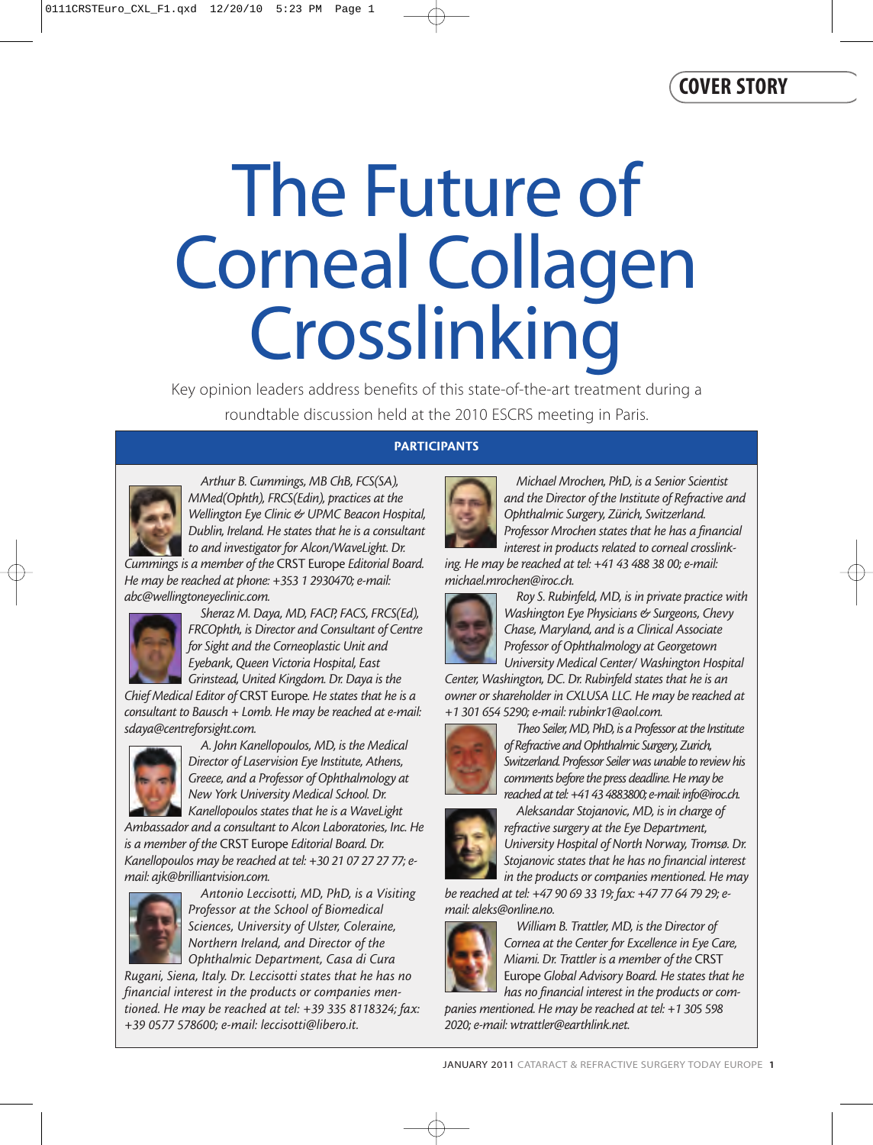# The Future of Corneal Collagen Crosslinking

Key opinion leaders address benefits of this state-of-the-art treatment during a roundtable discussion held at the 2010 ESCRS meeting in Paris.

### **PARTICIPANTS**



*Arthur B. Cummings, MB ChB, FCS(SA), MMed(Ophth), FRCS(Edin), practices at the Wellington Eye Clinic & UPMC Beacon Hospital, Dublin, Ireland. He states that he is a consultant to and investigator for Alcon/WaveLight. Dr.*

*Cummings is a member of the* CRST Europe *Editorial Board. He may be reached at phone: +353 1 2930470; e-mail: abc@wellingtoneyeclinic.com.* 



*Sheraz M. Daya, MD, FACP, FACS, FRCS(Ed), FRCOphth, is Director and Consultant of Centre for Sight and the Corneoplastic Unit and Eyebank, Queen Victoria Hospital, East Grinstead, United Kingdom. Dr. Daya is the*

*Chief Medical Editor of* CRST Europe*. He states that he is a consultant to Bausch + Lomb. He may be reached at e-mail: sdaya@centreforsight.com.*



*A. John Kanellopoulos, MD, is the Medical Director of Laservision Eye Institute, Athens, Greece, and a Professor of Ophthalmology at New York University Medical School. Dr. Kanellopoulos states that he is a WaveLight*

*Ambassador and a consultant to Alcon Laboratories, Inc. He is a member of the* CRST Europe *Editorial Board. Dr. Kanellopoulos may be reached at tel: +30 21 07 27 27 77; email: ajk@brilliantvision.com.*



*Antonio Leccisotti, MD, PhD, is a Visiting Professor at the School of Biomedical Sciences, University of Ulster, Coleraine, Northern Ireland, and Director of the Ophthalmic Department, Casa di Cura*

*Rugani, Siena, Italy. Dr. Leccisotti states that he has no financial interest in the products or companies mentioned. He may be reached at tel: +39 335 8118324; fax: +39 0577 578600; e-mail: leccisotti@libero.it.*

*Michael Mrochen, PhD, is a Senior Scientist and the Director of the Institute of Refractive and Ophthalmic Surgery, Zürich, Switzerland. Professor Mrochen states that he has a financial interest in products related to corneal crosslink-*

*ing. He may be reached at tel: +41 43 488 38 00; e-mail: michael.mrochen@iroc.ch.*



*Roy S. Rubinfeld, MD, is in private practice with Washington Eye Physicians & Surgeons, Chevy Chase, Maryland, and is a Clinical Associate Professor of Ophthalmology at Georgetown University Medical Center/ Washington Hospital*

*Center, Washington, DC. Dr. Rubinfeld states that he is an owner or shareholder in CXLUSA LLC. He may be reached at +1 301 654 5290; e-mail: rubinkr1@aol.com.*



*Theo Seiler, MD, PhD, is a Professor at the Institute of Refractive and Ophthalmic Surgery, Zurich, Switzerland. Professor Seiler was unable to review his comments before the press deadline. He may be reached at tel: +41 43 4883800; e-mail: info@iroc.ch.*



*Aleksandar Stojanovic, MD, is in charge of refractive surgery at the Eye Department, University Hospital of North Norway, Tromsø. Dr. Stojanovic states that he has no financial interest in the products or companies mentioned. He may*

*be reached at tel: +47 90 69 33 19; fax: +47 77 64 79 29; email: aleks@online.no.*



*William B. Trattler, MD, is the Director of Cornea at the Center for Excellence in Eye Care, Miami. Dr. Trattler is a member of the* CRST Europe *Global Advisory Board. He states that he has no financial interest in the products or com-*

*panies mentioned. He may be reached at tel: +1 305 598 2020; e-mail: wtrattler@earthlink.net.*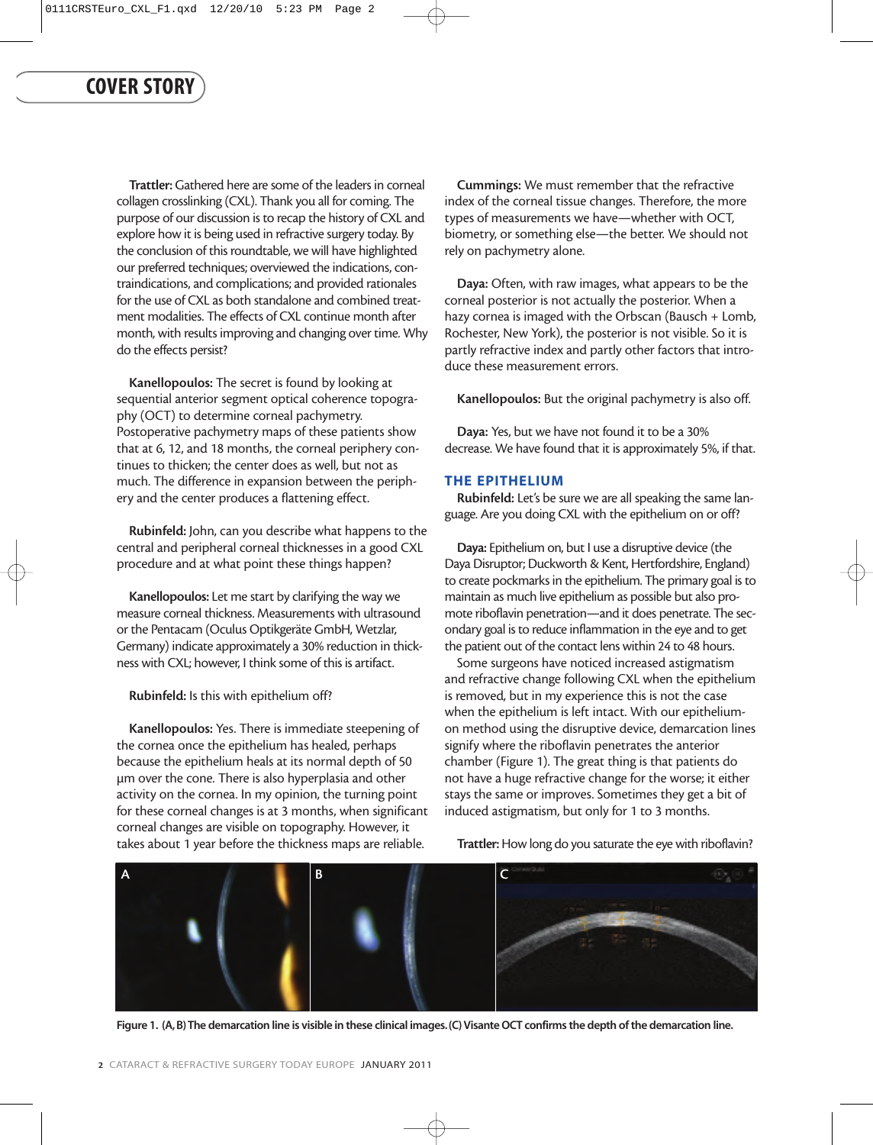Trattler: Gathered here are some of the leaders in corneal collagen crosslinking (CXL). Thank you all for coming. The purpose of our discussion is to recap the history of CXL and explore how it is being used in refractive surgery today. By the conclusion of this roundtable, we will have highlighted our preferred techniques; overviewed the indications, contraindications, and complications; and provided rationales for the use of CXL as both standalone and combined treatment modalities. The effects of CXL continue month after month, with results improving and changing over time. Why do the effects persist?

Kanellopoulos: The secret is found by looking at sequential anterior segment optical coherence topography (OCT) to determine corneal pachymetry. Postoperative pachymetry maps of these patients show that at 6, 12, and 18 months, the corneal periphery continues to thicken; the center does as well, but not as much. The difference in expansion between the periphery and the center produces a flattening effect.

Rubinfeld: John, can you describe what happens to the central and peripheral corneal thicknesses in a good CXL procedure and at what point these things happen?

Kanellopoulos: Let me start by clarifying the way we measure corneal thickness. Measurements with ultrasound or the Pentacam (Oculus Optikgeräte GmbH, Wetzlar, Germany) indicate approximately a 30% reduction in thickness with CXL; however, I think some of this is artifact.

Rubinfeld: Is this with epithelium off?

Kanellopoulos: Yes. There is immediate steepening of the cornea once the epithelium has healed, perhaps because the epithelium heals at its normal depth of 50 µm over the cone. There is also hyperplasia and other activity on the cornea. In my opinion, the turning point for these corneal changes is at 3 months, when significant corneal changes are visible on topography. However, it takes about 1 year before the thickness maps are reliable.

Cummings: We must remember that the refractive index of the corneal tissue changes. Therefore, the more types of measurements we have—whether with OCT, biometry, or something else—the better. We should not rely on pachymetry alone.

Daya: Often, with raw images, what appears to be the corneal posterior is not actually the posterior. When a hazy cornea is imaged with the Orbscan (Bausch + Lomb, Rochester, New York), the posterior is not visible. So it is partly refractive index and partly other factors that introduce these measurement errors.

Kanellopoulos: But the original pachymetry is also off.

Daya: Yes, but we have not found it to be a 30% decrease. We have found that it is approximately 5%, if that.

#### **THE EPITHELIUM**

Rubinfeld: Let's be sure we are all speaking the same language. Are you doing CXL with the epithelium on or off?

Daya: Epithelium on, but I use a disruptive device (the Daya Disruptor; Duckworth & Kent, Hertfordshire, England) to create pockmarks in the epithelium. The primary goal is to maintain as much live epithelium as possible but also promote riboflavin penetration—and it does penetrate. The secondary goal is to reduce inflammation in the eye and to get the patient out of the contact lens within 24 to 48 hours.

Some surgeons have noticed increased astigmatism and refractive change following CXL when the epithelium is removed, but in my experience this is not the case when the epithelium is left intact. With our epitheliumon method using the disruptive device, demarcation lines signify where the riboflavin penetrates the anterior chamber (Figure 1). The great thing is that patients do not have a huge refractive change for the worse; it either stays the same or improves. Sometimes they get a bit of induced astigmatism, but only for 1 to 3 months.

Trattler: How long do you saturate the eye with riboflavin?



**Figure 1. (A,B) The demarcation line is visible in these clinical images.(C) Visante OCT confirms the depth of the demarcation line.**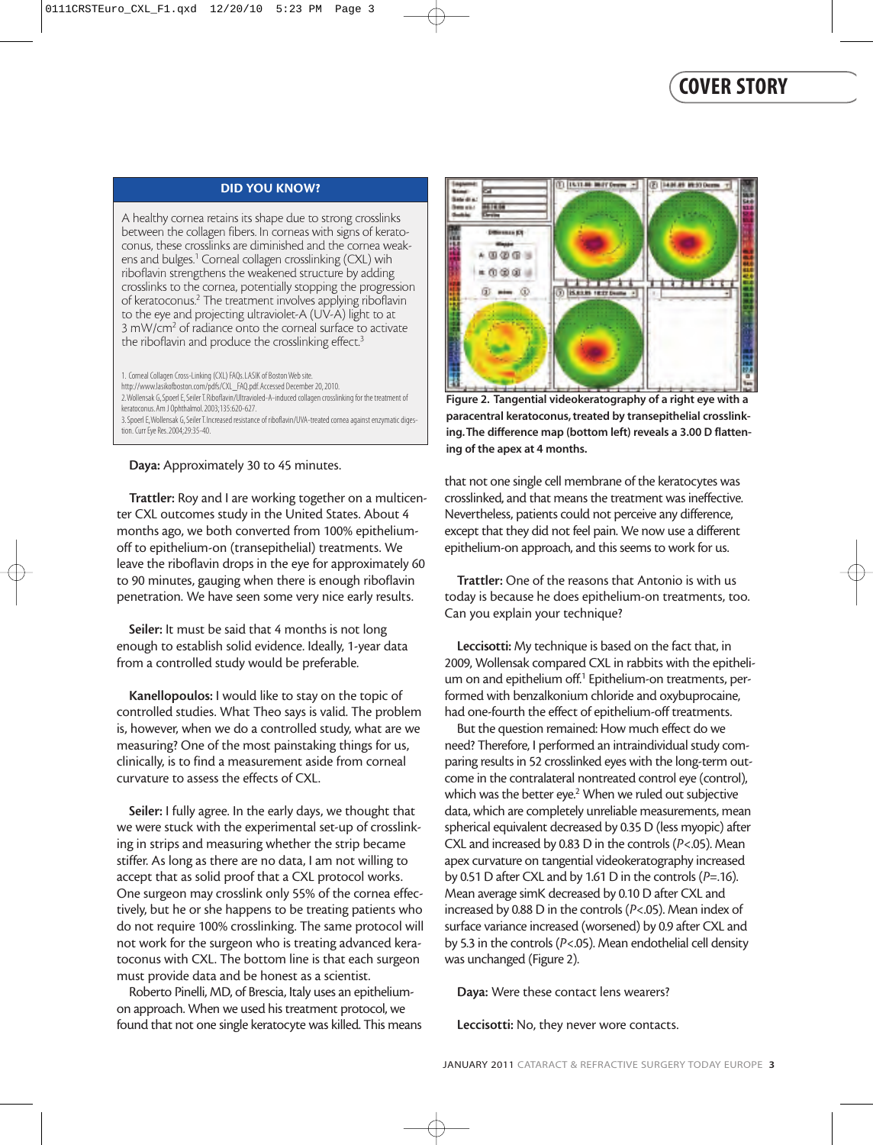#### **DID YOU KNOW?**

A healthy cornea retains its shape due to strong crosslinks between the collagen fibers. In corneas with signs of keratoconus, these crosslinks are diminished and the cornea weakens and bulges.<sup>1</sup> Corneal collagen crosslinking (CXL) wih riboflavin strengthens the weakened structure by adding crosslinks to the cornea, potentially stopping the progression of keratoconus.2 The treatment involves applying riboflavin to the eye and projecting ultraviolet-A (UV-A) light to at 3 mW/cm2 of radiance onto the corneal surface to activate the riboflavin and produce the crosslinking effect.<sup>3</sup>

1. Corneal Collagen Cross-Linking (CXL) FAQs.LASIK of Boston Web site. http://www.lasikofboston.com/pdfs/CXL\_FAQ.pdf.Accessed December 20, 2010. 2.Wollensak G, Spoerl E, Seiler T.Riboflavin/Ultravioled-A-induced collagen crosslinking for the treatment of keratoconus.Am J Ophthalmol.2003;135:620-627. 3.Spoerl E,Wollensak G, Seiler T.Increased resistance of riboflavin/UVA-treated cornea against enzymatic digestion. Curr Eye Res. 2004;29:35-40.

Daya: Approximately 30 to 45 minutes.

Trattler: Roy and I are working together on a multicenter CXL outcomes study in the United States. About 4 months ago, we both converted from 100% epitheliumoff to epithelium-on (transepithelial) treatments. We leave the riboflavin drops in the eye for approximately 60 to 90 minutes, gauging when there is enough riboflavin penetration. We have seen some very nice early results.

Seiler: It must be said that 4 months is not long enough to establish solid evidence. Ideally, 1-year data from a controlled study would be preferable.

Kanellopoulos: I would like to stay on the topic of controlled studies. What Theo says is valid. The problem is, however, when we do a controlled study, what are we measuring? One of the most painstaking things for us, clinically, is to find a measurement aside from corneal curvature to assess the effects of CXL.

Seiler: I fully agree. In the early days, we thought that we were stuck with the experimental set-up of crosslinking in strips and measuring whether the strip became stiffer. As long as there are no data, I am not willing to accept that as solid proof that a CXL protocol works. One surgeon may crosslink only 55% of the cornea effectively, but he or she happens to be treating patients who do not require 100% crosslinking. The same protocol will not work for the surgeon who is treating advanced keratoconus with CXL. The bottom line is that each surgeon must provide data and be honest as a scientist.

Roberto Pinelli, MD, of Brescia, Italy uses an epitheliumon approach. When we used his treatment protocol, we found that not one single keratocyte was killed. This means



**Figure 2. Tangential videokeratography of a right eye with a paracentral keratoconus, treated by transepithelial crosslinking.The difference map (bottom left) reveals a 3.00 D flattening of the apex at 4 months.**

that not one single cell membrane of the keratocytes was crosslinked, and that means the treatment was ineffective. Nevertheless, patients could not perceive any difference, except that they did not feel pain. We now use a different epithelium-on approach, and this seems to work for us.

Trattler: One of the reasons that Antonio is with us today is because he does epithelium-on treatments, too. Can you explain your technique?

Leccisotti: My technique is based on the fact that, in 2009, Wollensak compared CXL in rabbits with the epithelium on and epithelium off.<sup>1</sup> Epithelium-on treatments, performed with benzalkonium chloride and oxybuprocaine, had one-fourth the effect of epithelium-off treatments.

But the question remained: How much effect do we need? Therefore, I performed an intraindividual study comparing results in 52 crosslinked eyes with the long-term outcome in the contralateral nontreated control eye (control), which was the better eye.<sup>2</sup> When we ruled out subjective data, which are completely unreliable measurements, mean spherical equivalent decreased by 0.35 D (less myopic) after CXL and increased by 0.83 D in the controls (*P*<.05). Mean apex curvature on tangential videokeratography increased by 0.51 D after CXL and by 1.61 D in the controls (*P*=.16). Mean average simK decreased by 0.10 D after CXL and increased by 0.88 D in the controls (*P*<.05). Mean index of surface variance increased (worsened) by 0.9 after CXL and by 5.3 in the controls (*P*<.05). Mean endothelial cell density was unchanged (Figure 2).

Daya: Were these contact lens wearers?

Leccisotti: No, they never wore contacts.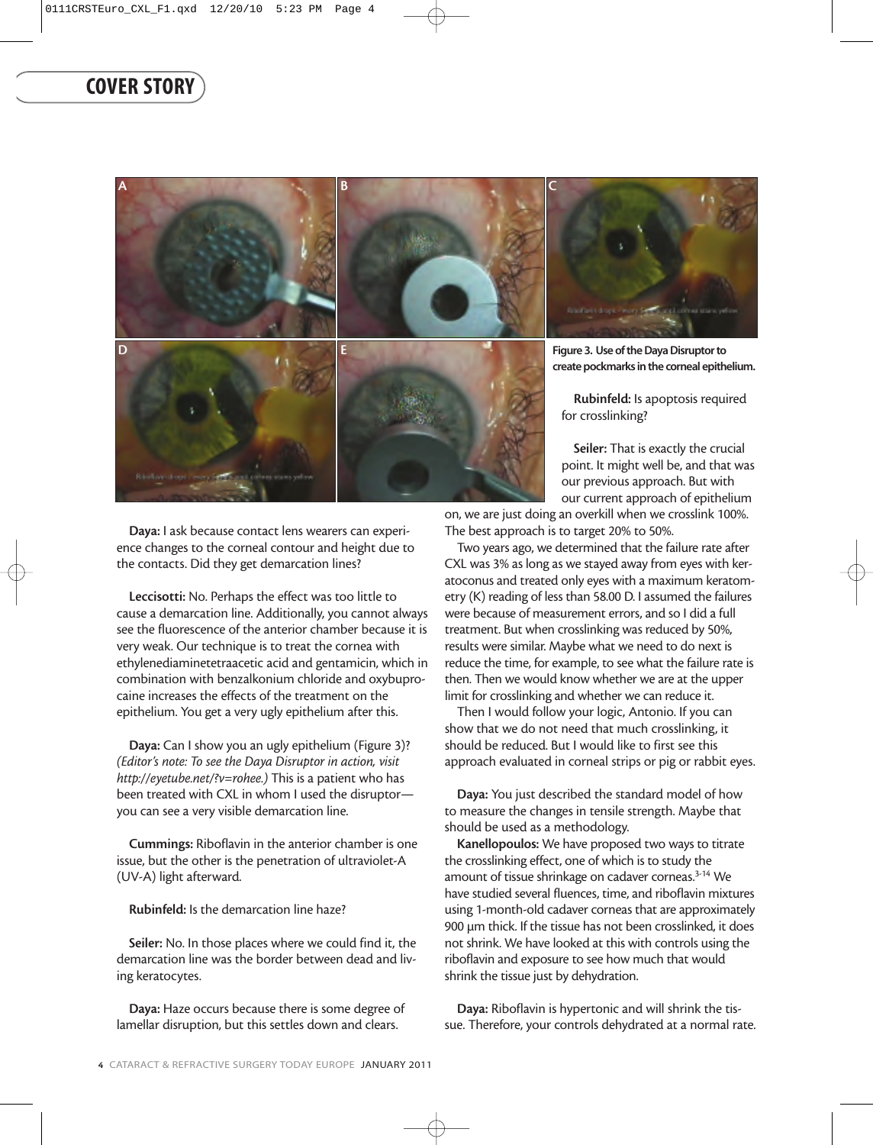

Daya: I ask because contact lens wearers can experience changes to the corneal contour and height due to the contacts. Did they get demarcation lines?

Leccisotti: No. Perhaps the effect was too little to cause a demarcation line. Additionally, you cannot always see the fluorescence of the anterior chamber because it is very weak. Our technique is to treat the cornea with ethylenediaminetetraacetic acid and gentamicin, which in combination with benzalkonium chloride and oxybuprocaine increases the effects of the treatment on the epithelium. You get a very ugly epithelium after this.

Daya: Can I show you an ugly epithelium (Figure 3)? *(Editor's note: To see the Daya Disruptor in action, visit http://eyetube.net/?v=rohee.)* This is a patient who has been treated with CXL in whom I used the disruptor you can see a very visible demarcation line.

Cummings: Riboflavin in the anterior chamber is one issue, but the other is the penetration of ultraviolet-A (UV-A) light afterward.

Rubinfeld: Is the demarcation line haze?

Seiler: No. In those places where we could find it, the demarcation line was the border between dead and living keratocytes.

Daya: Haze occurs because there is some degree of lamellar disruption, but this settles down and clears.

our previous approach. But with our current approach of epithelium

point. It might well be, and that was

on, we are just doing an overkill when we crosslink 100%. The best approach is to target 20% to 50%.

Two years ago, we determined that the failure rate after CXL was 3% as long as we stayed away from eyes with keratoconus and treated only eyes with a maximum keratometry (K) reading of less than 58.00 D. I assumed the failures were because of measurement errors, and so I did a full treatment. But when crosslinking was reduced by 50%, results were similar. Maybe what we need to do next is reduce the time, for example, to see what the failure rate is then. Then we would know whether we are at the upper limit for crosslinking and whether we can reduce it.

Then I would follow your logic, Antonio. If you can show that we do not need that much crosslinking, it should be reduced. But I would like to first see this approach evaluated in corneal strips or pig or rabbit eyes.

Daya: You just described the standard model of how to measure the changes in tensile strength. Maybe that should be used as a methodology.

Kanellopoulos: We have proposed two ways to titrate the crosslinking effect, one of which is to study the amount of tissue shrinkage on cadaver corneas.3-14 We have studied several fluences, time, and riboflavin mixtures using 1-month-old cadaver corneas that are approximately 900 µm thick. If the tissue has not been crosslinked, it does not shrink. We have looked at this with controls using the riboflavin and exposure to see how much that would shrink the tissue just by dehydration.

Daya: Riboflavin is hypertonic and will shrink the tissue. Therefore, your controls dehydrated at a normal rate.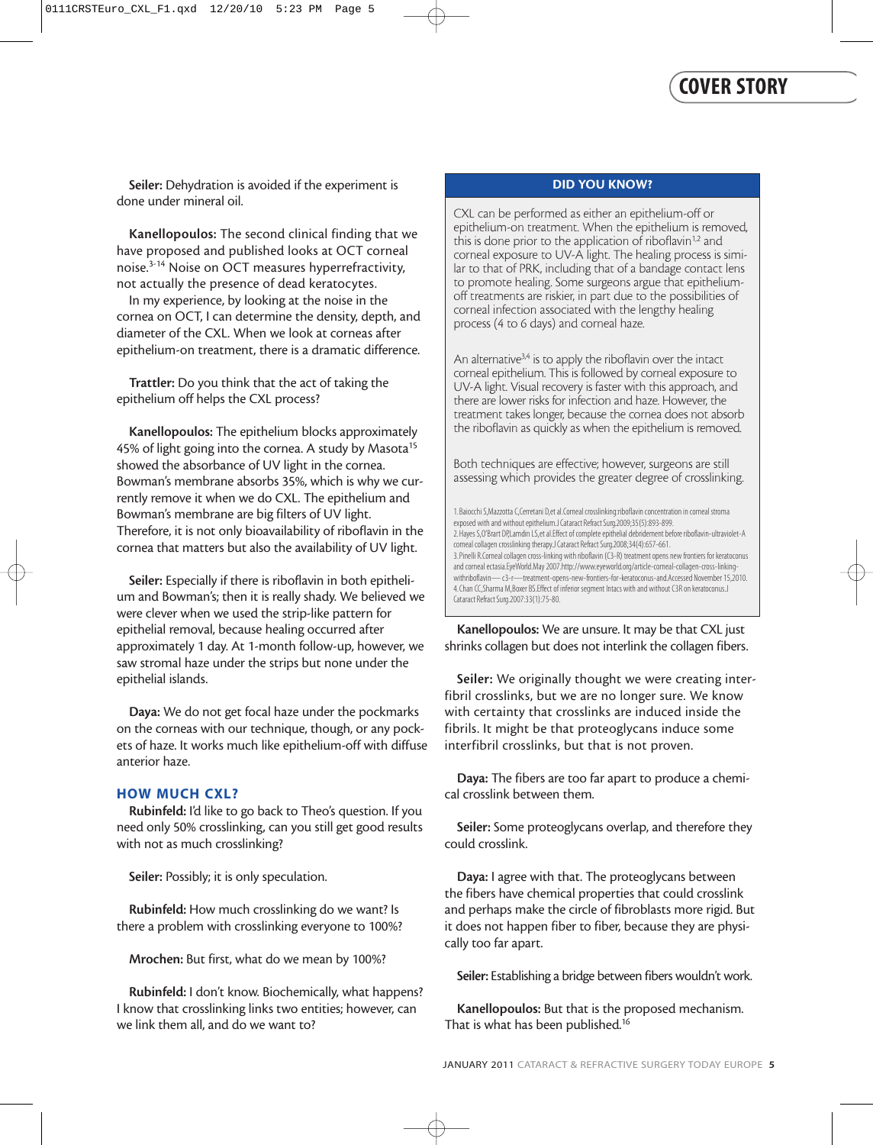Seiler: Dehydration is avoided if the experiment is done under mineral oil.

Kanellopoulos: The second clinical finding that we have proposed and published looks at OCT corneal noise.3-14 Noise on OCT measures hyperrefractivity, not actually the presence of dead keratocytes.

In my experience, by looking at the noise in the cornea on OCT, I can determine the density, depth, and diameter of the CXL. When we look at corneas after epithelium-on treatment, there is a dramatic difference.

Trattler: Do you think that the act of taking the epithelium off helps the CXL process?

Kanellopoulos: The epithelium blocks approximately 45% of light going into the cornea. A study by Masota<sup>15</sup> showed the absorbance of UV light in the cornea. Bowman's membrane absorbs 35%, which is why we currently remove it when we do CXL. The epithelium and Bowman's membrane are big filters of UV light. Therefore, it is not only bioavailability of riboflavin in the cornea that matters but also the availability of UV light.

Seiler: Especially if there is riboflavin in both epithelium and Bowman's; then it is really shady. We believed we were clever when we used the strip-like pattern for epithelial removal, because healing occurred after approximately 1 day. At 1-month follow-up, however, we saw stromal haze under the strips but none under the epithelial islands.

Daya: We do not get focal haze under the pockmarks on the corneas with our technique, though, or any pockets of haze. It works much like epithelium-off with diffuse anterior haze.

#### **HOW MUCH CXL?**

Rubinfeld: I'd like to go back to Theo's question. If you need only 50% crosslinking, can you still get good results with not as much crosslinking?

Seiler: Possibly; it is only speculation.

Rubinfeld: How much crosslinking do we want? Is there a problem with crosslinking everyone to 100%?

Mrochen: But first, what do we mean by 100%?

Rubinfeld: I don't know. Biochemically, what happens? I know that crosslinking links two entities; however, can we link them all, and do we want to?

#### **DID YOU KNOW?**

CXL can be performed as either an epithelium-off or epithelium-on treatment. When the epithelium is removed, this is done prior to the application of riboflavin<sup>1,2</sup> and corneal exposure to UV-A light. The healing process is similar to that of PRK, including that of a bandage contact lens to promote healing. Some surgeons argue that epitheliumoff treatments are riskier, in part due to the possibilities of corneal infection associated with the lengthy healing process (4 to 6 days) and corneal haze.

An alternative $3,4$  is to apply the riboflavin over the intact corneal epithelium. This is followed by corneal exposure to UV-A light. Visual recovery is faster with this approach, and there are lower risks for infection and haze. However, the treatment takes longer, because the cornea does not absorb the riboflavin as quickly as when the epithelium is removed.

Both techniques are effective; however, surgeons are still assessing which provides the greater degree of crosslinking.

1.Baiocchi S,Mazzotta C,Cerretani D,et al.Corneal crosslinking:riboflavin concentration in corneal stroma exposed with and without epithelium.J Cataract Refract Surg.2009;35(5):893-899. 2.Hayes S,O'Brart DP,Lamdin LS,et al.Effect of complete epithelial debridement before riboflavin-ultraviolet-A corneal collagen crosslinking therapy.J Cataract Refract Surg.2008;34(4):657-661. 3.Pinelli R.Corneal collagen cross-linking with riboflavin (C3-R) treatment opens new frontiers for keratoconus and corneal ectasia.EyeWorld.May 2007.http://www.eyeworld.org/article-corneal-collagen-cross-linkingwithriboflavin— c3-r—treatment-opens-new-frontiers-for-keratoconus-and.Accessed November 15,2010. 4.Chan CC,Sharma M,Boxer BS.Effect of inferior segment Intacs with and without C3R on keratoconus.J Cataract Refract Surg.2007:33(1):75-80.

Kanellopoulos: We are unsure. It may be that CXL just shrinks collagen but does not interlink the collagen fibers.

Seiler: We originally thought we were creating interfibril crosslinks, but we are no longer sure. We know with certainty that crosslinks are induced inside the fibrils. It might be that proteoglycans induce some interfibril crosslinks, but that is not proven.

Daya: The fibers are too far apart to produce a chemical crosslink between them.

Seiler: Some proteoglycans overlap, and therefore they could crosslink.

Daya: I agree with that. The proteoglycans between the fibers have chemical properties that could crosslink and perhaps make the circle of fibroblasts more rigid. But it does not happen fiber to fiber, because they are physically too far apart.

Seiler: Establishing a bridge between fibers wouldn't work.

Kanellopoulos: But that is the proposed mechanism. That is what has been published.16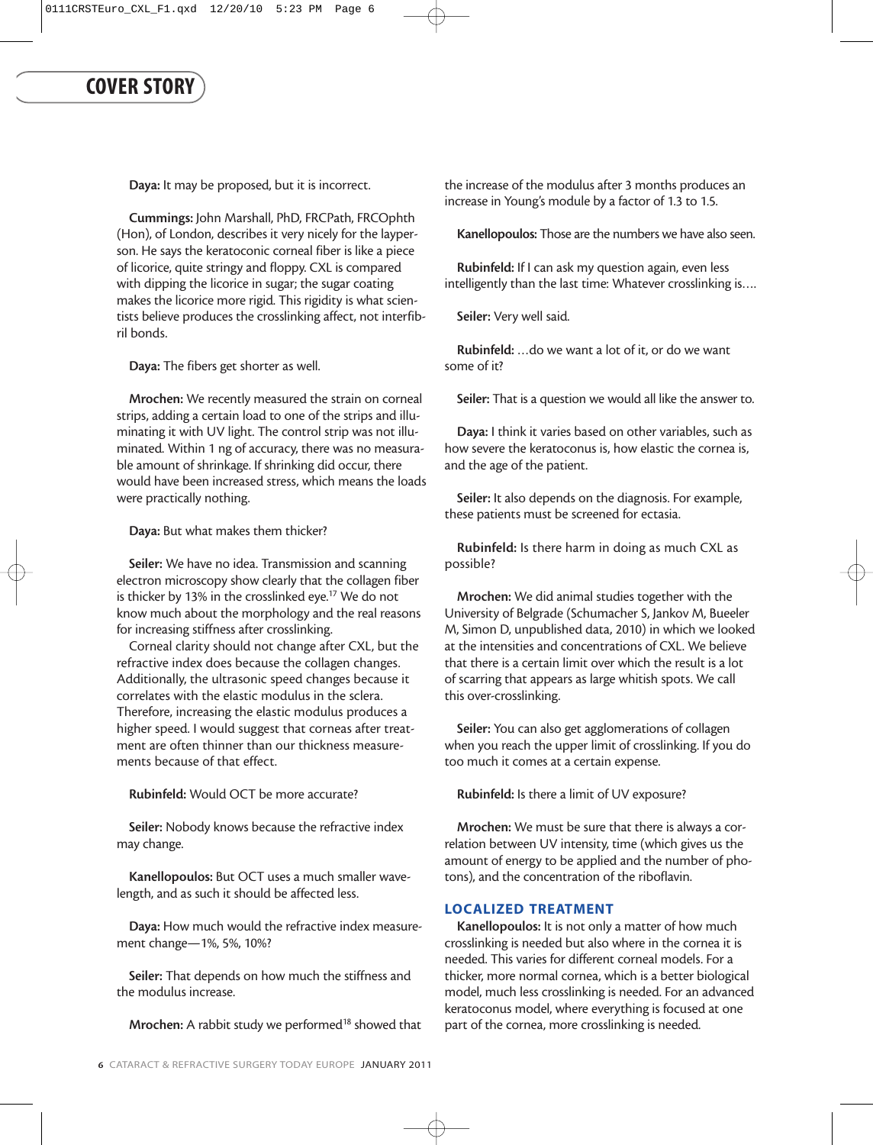Daya: It may be proposed, but it is incorrect.

Cummings: John Marshall, PhD, FRCPath, FRCOphth (Hon), of London, describes it very nicely for the layperson. He says the keratoconic corneal fiber is like a piece of licorice, quite stringy and floppy. CXL is compared with dipping the licorice in sugar; the sugar coating makes the licorice more rigid. This rigidity is what scientists believe produces the crosslinking affect, not interfibril bonds.

Daya: The fibers get shorter as well.

Mrochen: We recently measured the strain on corneal strips, adding a certain load to one of the strips and illuminating it with UV light. The control strip was not illuminated. Within 1 ng of accuracy, there was no measurable amount of shrinkage. If shrinking did occur, there would have been increased stress, which means the loads were practically nothing.

Daya: But what makes them thicker?

Seiler: We have no idea. Transmission and scanning electron microscopy show clearly that the collagen fiber is thicker by 13% in the crosslinked eye.<sup>17</sup> We do not know much about the morphology and the real reasons for increasing stiffness after crosslinking.

Corneal clarity should not change after CXL, but the refractive index does because the collagen changes. Additionally, the ultrasonic speed changes because it correlates with the elastic modulus in the sclera. Therefore, increasing the elastic modulus produces a higher speed. I would suggest that corneas after treatment are often thinner than our thickness measurements because of that effect.

Rubinfeld: Would OCT be more accurate?

Seiler: Nobody knows because the refractive index may change.

Kanellopoulos: But OCT uses a much smaller wavelength, and as such it should be affected less.

Daya: How much would the refractive index measurement change—1%, 5%, 10%?

Seiler: That depends on how much the stiffness and the modulus increase.

Mrochen: A rabbit study we performed $18$  showed that

the increase of the modulus after 3 months produces an increase in Young's module by a factor of 1.3 to 1.5.

Kanellopoulos: Those are the numbers we have also seen.

Rubinfeld: If I can ask my question again, even less intelligently than the last time: Whatever crosslinking is….

Seiler: Very well said.

Rubinfeld: …do we want a lot of it, or do we want some of it?

Seiler: That is a question we would all like the answer to.

Daya: I think it varies based on other variables, such as how severe the keratoconus is, how elastic the cornea is, and the age of the patient.

Seiler: It also depends on the diagnosis. For example, these patients must be screened for ectasia.

Rubinfeld: Is there harm in doing as much CXL as possible?

Mrochen: We did animal studies together with the University of Belgrade (Schumacher S, Jankov M, Bueeler M, Simon D, unpublished data, 2010) in which we looked at the intensities and concentrations of CXL. We believe that there is a certain limit over which the result is a lot of scarring that appears as large whitish spots. We call this over-crosslinking.

Seiler: You can also get agglomerations of collagen when you reach the upper limit of crosslinking. If you do too much it comes at a certain expense.

Rubinfeld: Is there a limit of UV exposure?

Mrochen: We must be sure that there is always a correlation between UV intensity, time (which gives us the amount of energy to be applied and the number of photons), and the concentration of the riboflavin.

#### **LOCALIZED TREATMENT**

Kanellopoulos: It is not only a matter of how much crosslinking is needed but also where in the cornea it is needed. This varies for different corneal models. For a thicker, more normal cornea, which is a better biological model, much less crosslinking is needed. For an advanced keratoconus model, where everything is focused at one part of the cornea, more crosslinking is needed.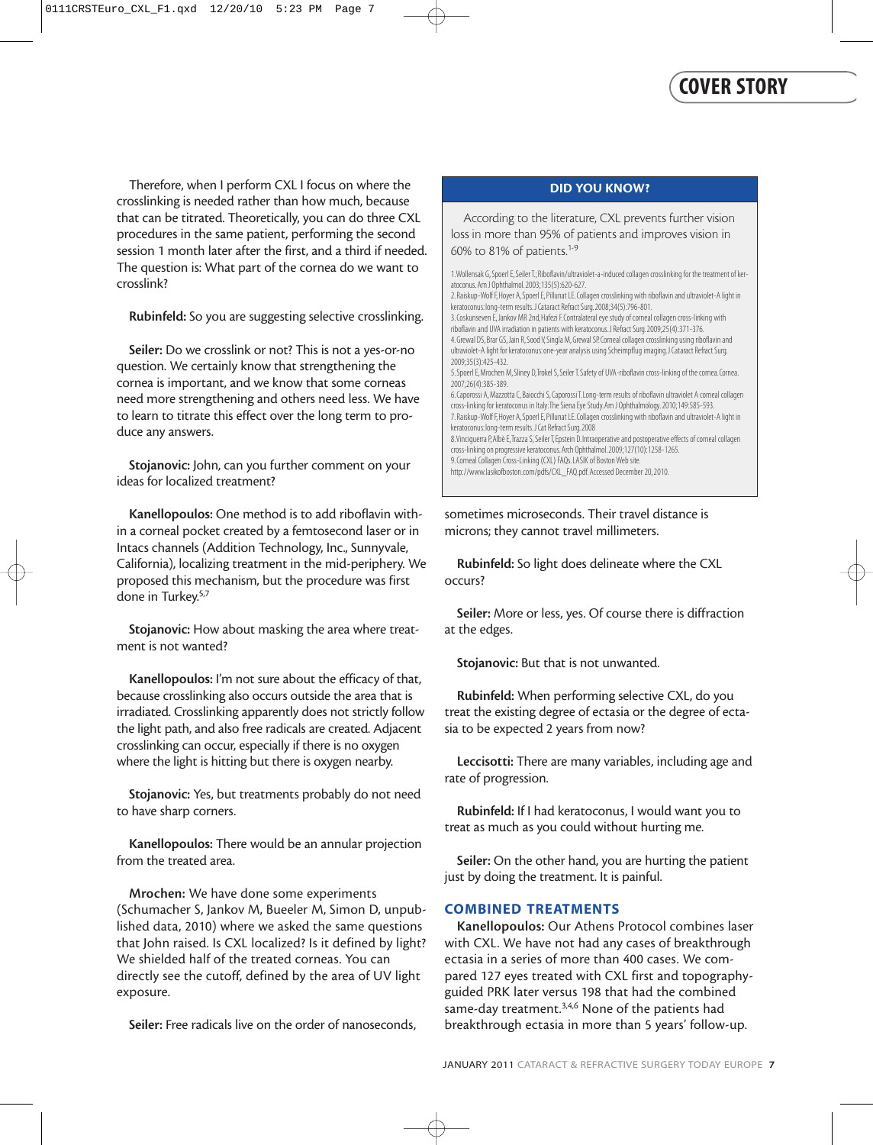Therefore, when I perform CXL I focus on where the crosslinking is needed rather than how much, because that can be titrated. Theoretically, you can do three CXL procedures in the same patient, performing the second session 1 month later after the first, and a third if needed. The question is: What part of the cornea do we want to crosslink?

Rubinfeld: So you are suggesting selective crosslinking.

Seiler: Do we crosslink or not? This is not a yes-or-no question. We certainly know that strengthening the cornea is important, and we know that some corneas need more strengthening and others need less. We have to learn to titrate this effect over the long term to produce any answers.

Stojanovic: John, can you further comment on your ideas for localized treatment?

Kanellopoulos: One method is to add riboflavin within a corneal pocket created by a femtosecond laser or in Intacs channels (Addition Technology, Inc., Sunnyvale, California), localizing treatment in the mid-periphery. We proposed this mechanism, but the procedure was first done in Turkey.<sup>5,7</sup>

Stojanovic: How about masking the area where treatment is not wanted?

Kanellopoulos: I'm not sure about the efficacy of that, because crosslinking also occurs outside the area that is irradiated. Crosslinking apparently does not strictly follow the light path, and also free radicals are created. Adjacent crosslinking can occur, especially if there is no oxygen where the light is hitting but there is oxygen nearby.

Stojanovic: Yes, but treatments probably do not need to have sharp corners.

Kanellopoulos: There would be an annular projection from the treated area.

Mrochen: We have done some experiments (Schumacher S, Jankov M, Bueeler M, Simon D, unpublished data, 2010) where we asked the same questions that John raised. Is CXL localized? Is it defined by light? We shielded half of the treated corneas. You can directly see the cutoff, defined by the area of UV light exposure.

Seiler: Free radicals live on the order of nanoseconds,

#### **DID YOU KNOW?**

According to the literature, CXL prevents further vision loss in more than 95% of patients and improves vision in 60% to 81% of patients.<sup>1-9</sup>

1.Wollensak G, Spoerl E, Seiler T.; Riboflavin/ultraviolet-a-induced collagen crosslinking for the treatment of keratoconus.Am J Ophthalmol.2003;135(5):620-627. 2.Raiskup-Wolf F, Hoyer A, Spoerl E, Pillunat LE.Collagen crosslinking with riboflavin and ultraviolet-A light in keratoconus:long-term results.J Cataract Refract Surg.2008;34(5):796-801. 3.Coskunseven E, Jankov MR 2nd, Hafezi F.Contralateral eye study of corneal collagen cross-linking with riboflavin and UVA irradiation in patients with keratoconus.J Refract Surg.2009;25(4):371-376. 4.Grewal DS, Brar GS, Jain R, Sood V, Singla M, Grewal SP.Corneal collagen crosslinking using riboflavin and ultraviolet-A light for keratoconus:one-year analysis using Scheimpflug imaging.J Cataract Refract Surg. 2009;35(3):425-432. 5. Spoerl E, Mrochen M, Sliney D, Trokel S, Seiler T. Safety of UVA-riboflavin cross-linking of the cornea. Cornea. 2007;26(4):385-389. 6.Caporossi A, Mazzotta C, Baiocchi S, Caporossi T.Long-term results of riboflavin ultraviolet A corneal collagen cross-linking for keratoconus in Italy:The Siena Eye Study.Am J Ophthalmology.2010;149:585-593. 7.Raiskup-Wolf F, Hoyer A, Spoerl E, Pillunat LE.Collagen crosslinking with riboflavin and ultraviolet-A light in keratoconus:long-term results.J Cat Refract Surg.2008 8. Vinciguerra P, Albè E, Trazza S, Seiler T, Epstein D. Intraoperative and postoperative effects of corneal collagen cross-linking on progressive keratoconus.Arch Ophthalmol.2009;127(10):1258-1265. 9.Corneal Collagen Cross-Linking (CXL) FAQs.LASIK of Boston Web site.

sometimes microseconds. Their travel distance is microns; they cannot travel millimeters.

http://www.lasikofboston.com/pdfs/CXL\_FAQ.pdf.Accessed December 20, 2010.

Rubinfeld: So light does delineate where the CXL occurs?

Seiler: More or less, yes. Of course there is diffraction at the edges.

Stojanovic: But that is not unwanted.

Rubinfeld: When performing selective CXL, do you treat the existing degree of ectasia or the degree of ectasia to be expected 2 years from now?

Leccisotti: There are many variables, including age and rate of progression.

Rubinfeld: If I had keratoconus, I would want you to treat as much as you could without hurting me.

Seiler: On the other hand, you are hurting the patient just by doing the treatment. It is painful.

#### **COMBINED TREATMENTS**

Kanellopoulos: Our Athens Protocol combines laser with CXL. We have not had any cases of breakthrough ectasia in a series of more than 400 cases. We compared 127 eyes treated with CXL first and topographyguided PRK later versus 198 that had the combined same-day treatment.<sup>3,4,6</sup> None of the patients had breakthrough ectasia in more than 5 years' follow-up.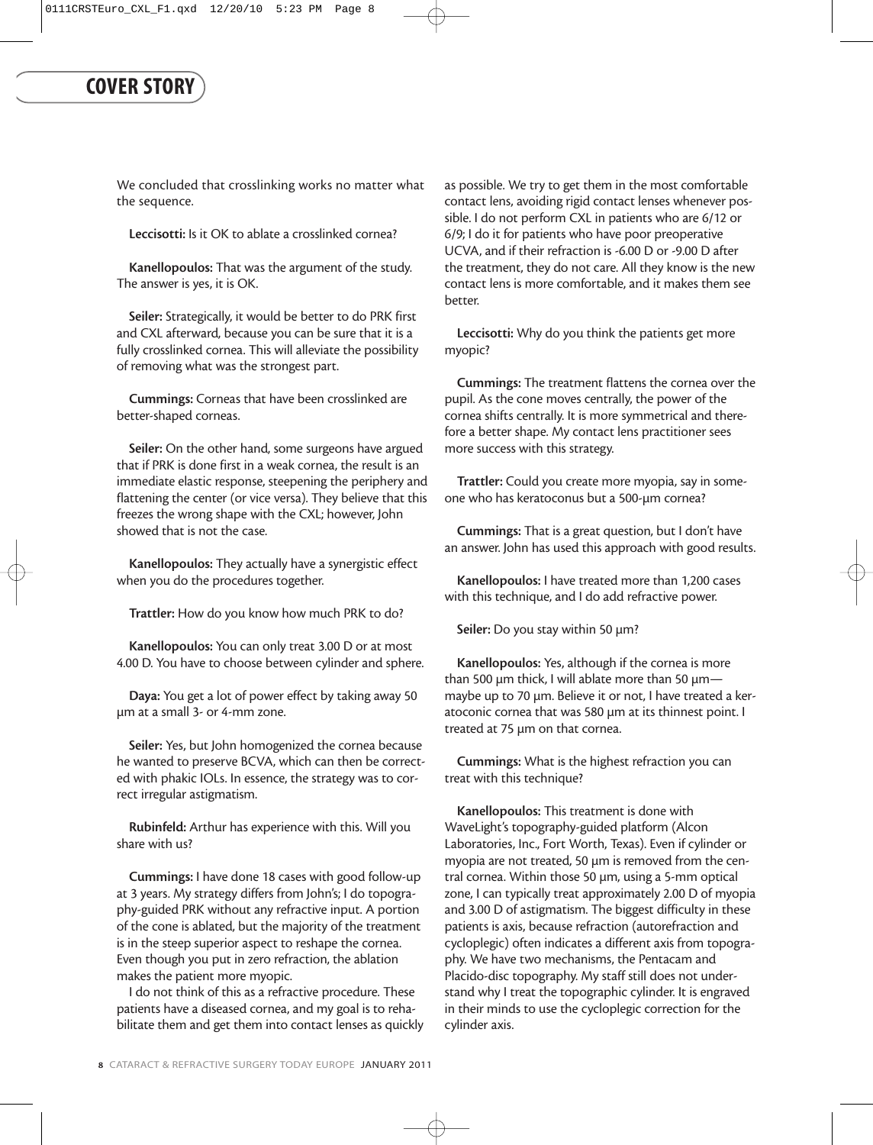We concluded that crosslinking works no matter what the sequence.

Leccisotti: Is it OK to ablate a crosslinked cornea?

Kanellopoulos: That was the argument of the study. The answer is yes, it is OK.

Seiler: Strategically, it would be better to do PRK first and CXL afterward, because you can be sure that it is a fully crosslinked cornea. This will alleviate the possibility of removing what was the strongest part.

Cummings: Corneas that have been crosslinked are better-shaped corneas.

Seiler: On the other hand, some surgeons have argued that if PRK is done first in a weak cornea, the result is an immediate elastic response, steepening the periphery and flattening the center (or vice versa). They believe that this freezes the wrong shape with the CXL; however, John showed that is not the case.

Kanellopoulos: They actually have a synergistic effect when you do the procedures together.

Trattler: How do you know how much PRK to do?

Kanellopoulos: You can only treat 3.00 D or at most 4.00 D. You have to choose between cylinder and sphere.

Daya: You get a lot of power effect by taking away 50 µm at a small 3- or 4-mm zone.

Seiler: Yes, but John homogenized the cornea because he wanted to preserve BCVA, which can then be corrected with phakic IOLs. In essence, the strategy was to correct irregular astigmatism.

Rubinfeld: Arthur has experience with this. Will you share with us?

Cummings: I have done 18 cases with good follow-up at 3 years. My strategy differs from John's; I do topography-guided PRK without any refractive input. A portion of the cone is ablated, but the majority of the treatment is in the steep superior aspect to reshape the cornea. Even though you put in zero refraction, the ablation makes the patient more myopic.

I do not think of this as a refractive procedure. These patients have a diseased cornea, and my goal is to rehabilitate them and get them into contact lenses as quickly as possible. We try to get them in the most comfortable contact lens, avoiding rigid contact lenses whenever possible. I do not perform CXL in patients who are 6/12 or 6/9; I do it for patients who have poor preoperative UCVA, and if their refraction is -6.00 D or -9.00 D after the treatment, they do not care. All they know is the new contact lens is more comfortable, and it makes them see better.

Leccisotti: Why do you think the patients get more myopic?

Cummings: The treatment flattens the cornea over the pupil. As the cone moves centrally, the power of the cornea shifts centrally. It is more symmetrical and therefore a better shape. My contact lens practitioner sees more success with this strategy.

Trattler: Could you create more myopia, say in someone who has keratoconus but a 500-µm cornea?

Cummings: That is a great question, but I don't have an answer. John has used this approach with good results.

Kanellopoulos: I have treated more than 1,200 cases with this technique, and I do add refractive power.

Seiler: Do you stay within 50  $\mu$ m?

Kanellopoulos: Yes, although if the cornea is more than 500  $\mu$ m thick, I will ablate more than 50  $\mu$ mmaybe up to 70 µm. Believe it or not, I have treated a keratoconic cornea that was 580 µm at its thinnest point. I treated at 75 µm on that cornea.

Cummings: What is the highest refraction you can treat with this technique?

Kanellopoulos: This treatment is done with WaveLight's topography-guided platform (Alcon Laboratories, Inc., Fort Worth, Texas). Even if cylinder or myopia are not treated, 50 µm is removed from the central cornea. Within those 50 µm, using a 5-mm optical zone, I can typically treat approximately 2.00 D of myopia and 3.00 D of astigmatism. The biggest difficulty in these patients is axis, because refraction (autorefraction and cycloplegic) often indicates a different axis from topography. We have two mechanisms, the Pentacam and Placido-disc topography. My staff still does not understand why I treat the topographic cylinder. It is engraved in their minds to use the cycloplegic correction for the cylinder axis.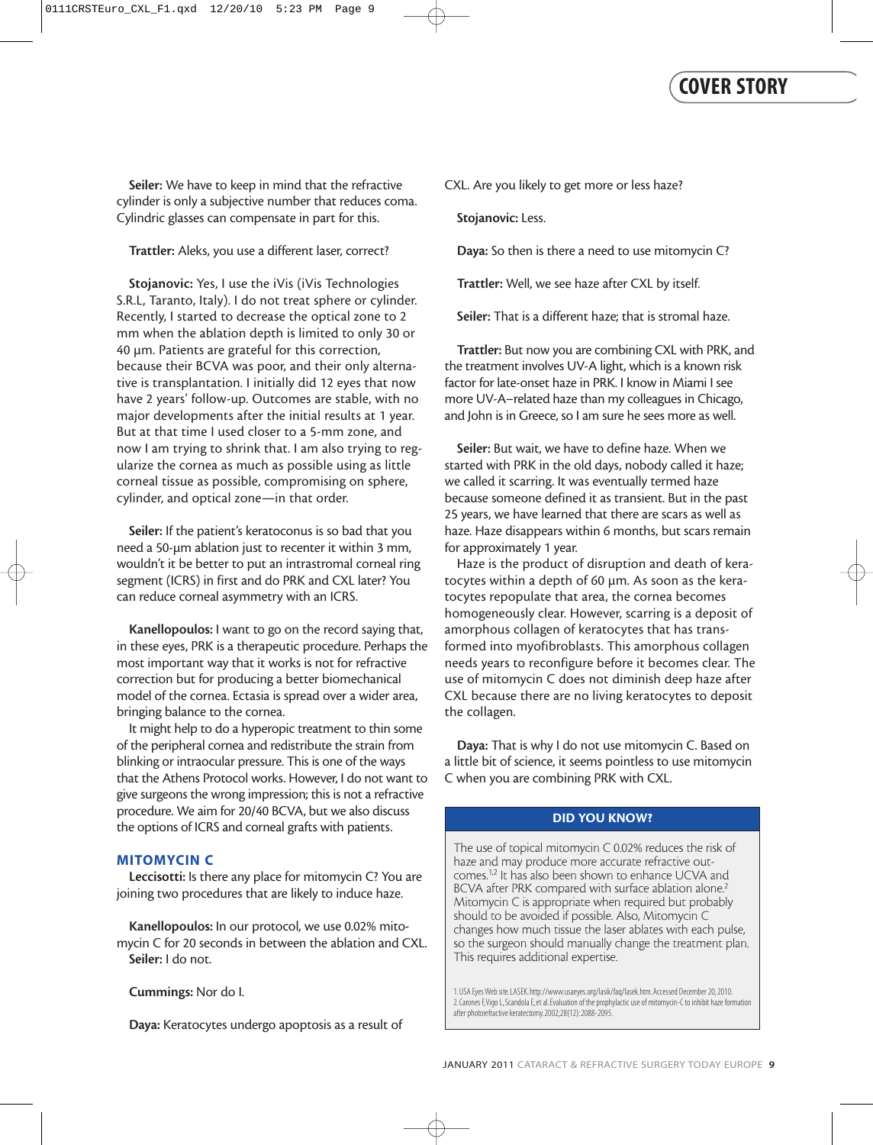Seiler: We have to keep in mind that the refractive cylinder is only a subjective number that reduces coma. Cylindric glasses can compensate in part for this.

#### Trattler: Aleks, you use a different laser, correct?

Stojanovic: Yes, I use the iVis (iVis Technologies S.R.L, Taranto, Italy). I do not treat sphere or cylinder. Recently, I started to decrease the optical zone to 2 mm when the ablation depth is limited to only 30 or 40 µm. Patients are grateful for this correction, because their BCVA was poor, and their only alternative is transplantation. I initially did 12 eyes that now have 2 years' follow-up. Outcomes are stable, with no major developments after the initial results at 1 year. But at that time I used closer to a 5-mm zone, and now I am trying to shrink that. I am also trying to regularize the cornea as much as possible using as little corneal tissue as possible, compromising on sphere, cylinder, and optical zone—in that order.

Seiler: If the patient's keratoconus is so bad that you need a 50-µm ablation just to recenter it within 3 mm, wouldn't it be better to put an intrastromal corneal ring segment (ICRS) in first and do PRK and CXL later? You can reduce corneal asymmetry with an ICRS.

Kanellopoulos: I want to go on the record saying that, in these eyes, PRK is a therapeutic procedure. Perhaps the most important way that it works is not for refractive correction but for producing a better biomechanical model of the cornea. Ectasia is spread over a wider area, bringing balance to the cornea.

It might help to do a hyperopic treatment to thin some of the peripheral cornea and redistribute the strain from blinking or intraocular pressure. This is one of the ways that the Athens Protocol works. However, I do not want to give surgeons the wrong impression; this is not a refractive procedure. We aim for 20/40 BCVA, but we also discuss the options of ICRS and corneal grafts with patients.

#### **MITOMYCIN C**

Leccisotti: Is there any place for mitomycin C? You are joining two procedures that are likely to induce haze.

Kanellopoulos: In our protocol, we use 0.02% mitomycin C for 20 seconds in between the ablation and CXL. Seiler: I do not.

Cummings: Nor do I.

Daya: Keratocytes undergo apoptosis as a result of

CXL. Are you likely to get more or less haze?

Stojanovic: Less.

Daya: So then is there a need to use mitomycin C?

Trattler: Well, we see haze after CXL by itself.

Seiler: That is a different haze; that is stromal haze.

Trattler: But now you are combining CXL with PRK, and the treatment involves UV-A light, which is a known risk factor for late-onset haze in PRK. I know in Miami I see more UV-A–related haze than my colleagues in Chicago, and John is in Greece, so I am sure he sees more as well.

Seiler: But wait, we have to define haze. When we started with PRK in the old days, nobody called it haze; we called it scarring. It was eventually termed haze because someone defined it as transient. But in the past 25 years, we have learned that there are scars as well as haze. Haze disappears within 6 months, but scars remain for approximately 1 year.

Haze is the product of disruption and death of keratocytes within a depth of 60 µm. As soon as the keratocytes repopulate that area, the cornea becomes homogeneously clear. However, scarring is a deposit of amorphous collagen of keratocytes that has transformed into myofibroblasts. This amorphous collagen needs years to reconfigure before it becomes clear. The use of mitomycin C does not diminish deep haze after CXL because there are no living keratocytes to deposit the collagen.

Daya: That is why I do not use mitomycin C. Based on a little bit of science, it seems pointless to use mitomycin C when you are combining PRK with CXL.

#### **DID YOU KNOW?**

The use of topical mitomycin C 0.02% reduces the risk of haze and may produce more accurate refractive outcomes.<sup>1,2</sup> It has also been shown to enhance UCVA and BCVA after PRK compared with surface ablation alone.<sup>2</sup> Mitomycin C is appropriate when required but probably should to be avoided if possible. Also, Mitomycin C changes how much tissue the laser ablates with each pulse, so the surgeon should manually change the treatment plan. This requires additional expertise.

1.USA Eyes Web site.LASEK.http://www.usaeyes.org/lasik/faq/lasek.htm.Accessed December 20, 2010. 2.Carones F,Vigo L, Scandola E, et al.Evaluation of the prophylactic use of mitomycin-C to inhibit haze formation after photorefractive keratectomy.2002;28(12):2088-2095.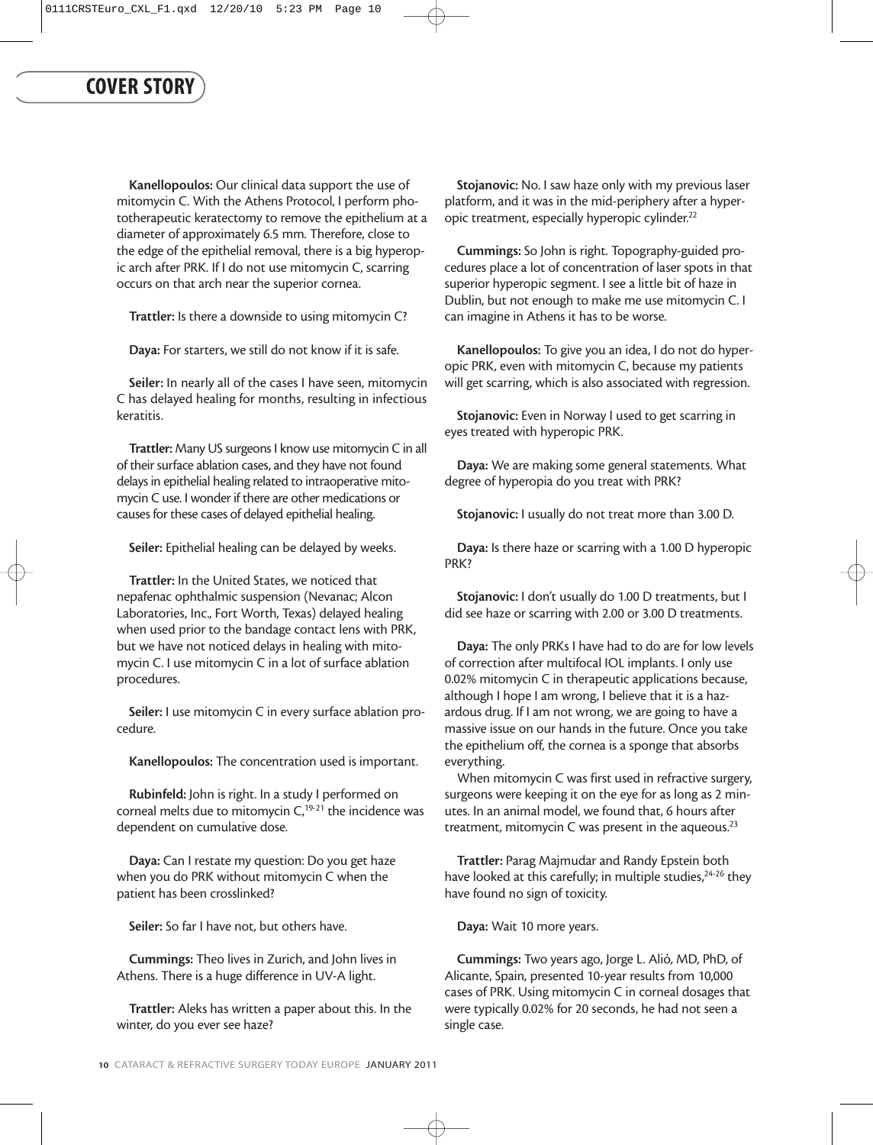Kanellopoulos: Our clinical data support the use of mitomycin C. With the Athens Protocol, I perform phototherapeutic keratectomy to remove the epithelium at a diameter of approximately 6.5 mm. Therefore, close to the edge of the epithelial removal, there is a big hyperopic arch after PRK. If I do not use mitomycin C, scarring occurs on that arch near the superior cornea.

Trattler: Is there a downside to using mitomycin C?

Daya: For starters, we still do not know if it is safe.

Seiler: In nearly all of the cases I have seen, mitomycin C has delayed healing for months, resulting in infectious keratitis.

Trattler: Many US surgeons I know use mitomycin C in all of their surface ablation cases, and they have not found delays in epithelial healing related to intraoperative mitomycin C use. I wonder if there are other medications or causes for these cases of delayed epithelial healing.

Seiler: Epithelial healing can be delayed by weeks.

Trattler: In the United States, we noticed that nepafenac ophthalmic suspension (Nevanac; Alcon Laboratories, Inc., Fort Worth, Texas) delayed healing when used prior to the bandage contact lens with PRK, but we have not noticed delays in healing with mitomycin C. I use mitomycin C in a lot of surface ablation procedures.

Seiler: I use mitomycin C in every surface ablation procedure.

Kanellopoulos: The concentration used is important.

Rubinfeld: John is right. In a study I performed on corneal melts due to mitomycin  $C$ ,<sup>19-21</sup> the incidence was dependent on cumulative dose.

Daya: Can I restate my question: Do you get haze when you do PRK without mitomycin C when the patient has been crosslinked?

Seiler: So far I have not, but others have.

Cummings: Theo lives in Zurich, and John lives in Athens. There is a huge difference in UV-A light.

Trattler: Aleks has written a paper about this. In the winter, do you ever see haze?

Stojanovic: No. I saw haze only with my previous laser platform, and it was in the mid-periphery after a hyperopic treatment, especially hyperopic cylinder.22

Cummings: So John is right. Topography-guided procedures place a lot of concentration of laser spots in that superior hyperopic segment. I see a little bit of haze in Dublin, but not enough to make me use mitomycin C. I can imagine in Athens it has to be worse.

Kanellopoulos: To give you an idea, I do not do hyperopic PRK, even with mitomycin C, because my patients will get scarring, which is also associated with regression.

Stojanovic: Even in Norway I used to get scarring in eyes treated with hyperopic PRK.

Daya: We are making some general statements. What degree of hyperopia do you treat with PRK?

Stojanovic: I usually do not treat more than 3.00 D.

Daya: Is there haze or scarring with a 1.00 D hyperopic PRK?

Stojanovic: I don't usually do 1.00 D treatments, but I did see haze or scarring with 2.00 or 3.00 D treatments.

Daya: The only PRKs I have had to do are for low levels of correction after multifocal IOL implants. I only use 0.02% mitomycin C in therapeutic applications because, although I hope I am wrong, I believe that it is a hazardous drug. If I am not wrong, we are going to have a massive issue on our hands in the future. Once you take the epithelium off, the cornea is a sponge that absorbs everything.

When mitomycin C was first used in refractive surgery, surgeons were keeping it on the eye for as long as 2 minutes. In an animal model, we found that, 6 hours after treatment, mitomycin  $C$  was present in the aqueous.<sup>23</sup>

Trattler: Parag Majmudar and Randy Epstein both have looked at this carefully; in multiple studies,<sup>24-26</sup> they have found no sign of toxicity.

Daya: Wait 10 more years.

Cummings: Two years ago, Jorge L. Alió, MD, PhD, of Alicante, Spain, presented 10-year results from 10,000 cases of PRK. Using mitomycin C in corneal dosages that were typically 0.02% for 20 seconds, he had not seen a single case.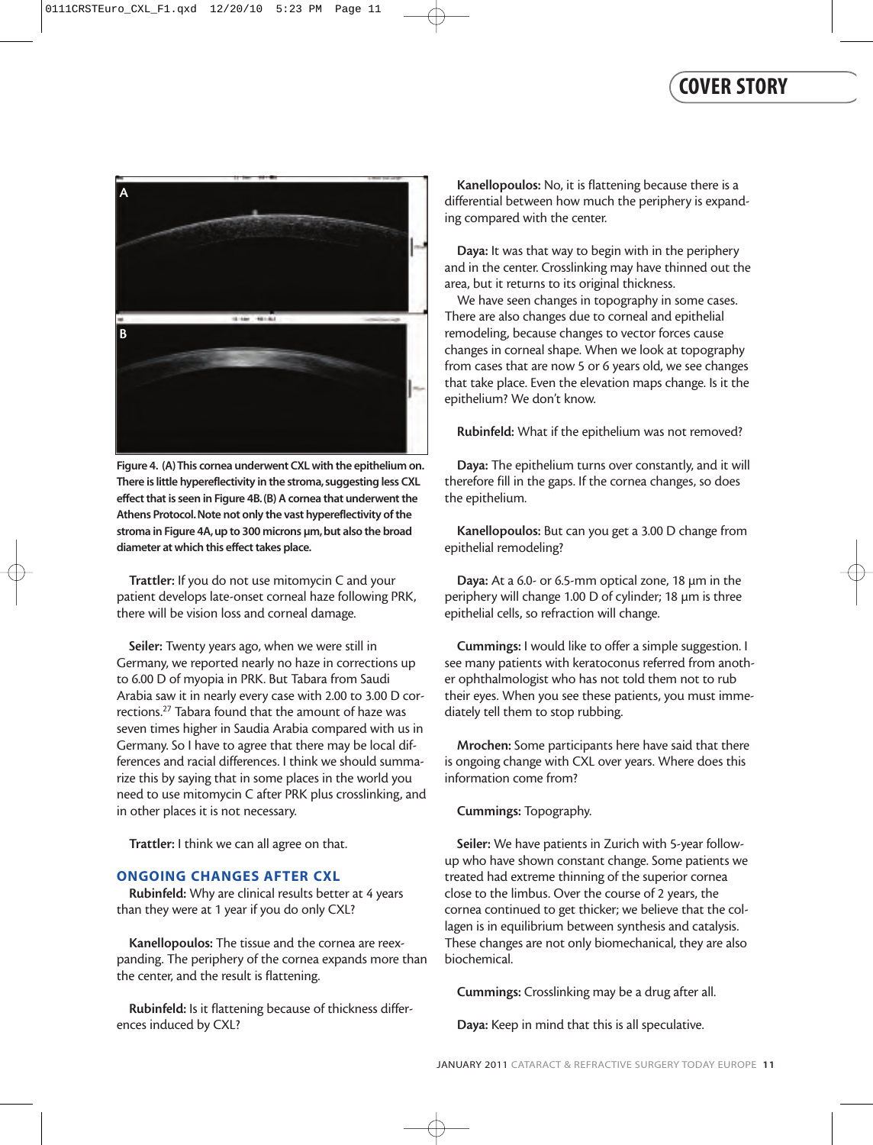

**Figure 4. (A) This cornea underwent CXL with the epithelium on.** There is little hypereflectivity in the stroma, suggesting less CXL **effect that is seen in Figure 4B.(B) A cornea that underwent the Athens Protocol.Note not only the vast hypereflectivity of the stroma in Figure 4A,up to 300 microns µm,but also the broad diameter at which this effect takes place.**

Trattler: If you do not use mitomycin C and your patient develops late-onset corneal haze following PRK, there will be vision loss and corneal damage.

Seiler: Twenty years ago, when we were still in Germany, we reported nearly no haze in corrections up to 6.00 D of myopia in PRK. But Tabara from Saudi Arabia saw it in nearly every case with 2.00 to 3.00 D corrections.27 Tabara found that the amount of haze was seven times higher in Saudia Arabia compared with us in Germany. So I have to agree that there may be local differences and racial differences. I think we should summarize this by saying that in some places in the world you need to use mitomycin C after PRK plus crosslinking, and in other places it is not necessary.

Trattler: I think we can all agree on that.

#### **ONGOING CHANGES AFTER CXL**

Rubinfeld: Why are clinical results better at 4 years than they were at 1 year if you do only CXL?

Kanellopoulos: The tissue and the cornea are reexpanding. The periphery of the cornea expands more than the center, and the result is flattening.

Rubinfeld: Is it flattening because of thickness differences induced by CXL?

Kanellopoulos: No, it is flattening because there is a differential between how much the periphery is expanding compared with the center.

Daya: It was that way to begin with in the periphery and in the center. Crosslinking may have thinned out the area, but it returns to its original thickness.

We have seen changes in topography in some cases. There are also changes due to corneal and epithelial remodeling, because changes to vector forces cause changes in corneal shape. When we look at topography from cases that are now 5 or 6 years old, we see changes that take place. Even the elevation maps change. Is it the epithelium? We don't know.

Rubinfeld: What if the epithelium was not removed?

Daya: The epithelium turns over constantly, and it will therefore fill in the gaps. If the cornea changes, so does the epithelium.

Kanellopoulos: But can you get a 3.00 D change from epithelial remodeling?

Daya: At a 6.0- or 6.5-mm optical zone, 18 µm in the periphery will change 1.00 D of cylinder; 18 µm is three epithelial cells, so refraction will change.

Cummings: I would like to offer a simple suggestion. I see many patients with keratoconus referred from another ophthalmologist who has not told them not to rub their eyes. When you see these patients, you must immediately tell them to stop rubbing.

Mrochen: Some participants here have said that there is ongoing change with CXL over years. Where does this information come from?

#### Cummings: Topography.

Seiler: We have patients in Zurich with 5-year followup who have shown constant change. Some patients we treated had extreme thinning of the superior cornea close to the limbus. Over the course of 2 years, the cornea continued to get thicker; we believe that the collagen is in equilibrium between synthesis and catalysis. These changes are not only biomechanical, they are also biochemical.

Cummings: Crosslinking may be a drug after all.

Daya: Keep in mind that this is all speculative.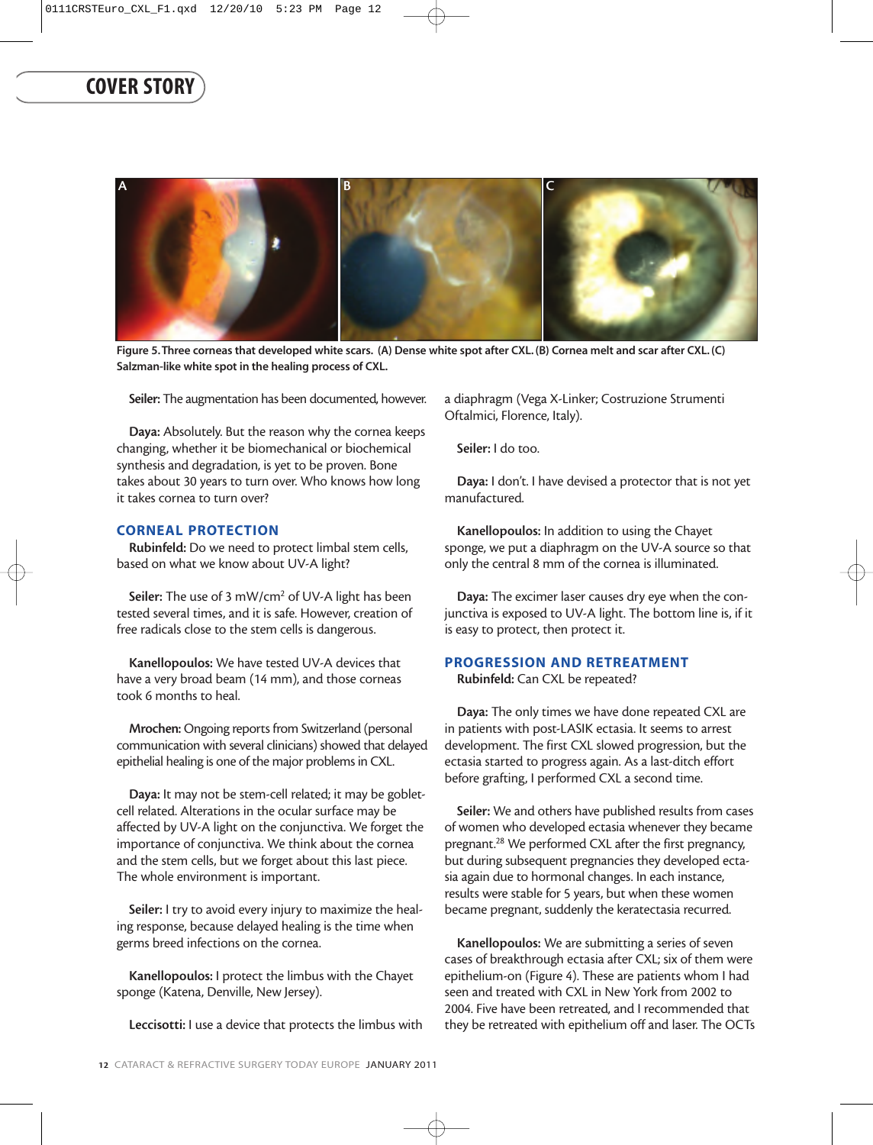

**Figure 5.Three corneas that developed white scars. (A) Dense white spot after CXL. (B) Cornea melt and scar after CXL. (C) Salzman-like white spot in the healing process of CXL.**

Seiler: The augmentation has been documented, however.

Daya: Absolutely. But the reason why the cornea keeps changing, whether it be biomechanical or biochemical synthesis and degradation, is yet to be proven. Bone takes about 30 years to turn over. Who knows how long it takes cornea to turn over?

#### **CORNEAL PROTECTION**

Rubinfeld: Do we need to protect limbal stem cells, based on what we know about UV-A light?

Seiler: The use of 3 mW/cm<sup>2</sup> of UV-A light has been tested several times, and it is safe. However, creation of free radicals close to the stem cells is dangerous.

Kanellopoulos: We have tested UV-A devices that have a very broad beam (14 mm), and those corneas took 6 months to heal.

Mrochen: Ongoing reports from Switzerland (personal communication with several clinicians) showed that delayed epithelial healing is one of the major problems in CXL.

Daya: It may not be stem-cell related; it may be gobletcell related. Alterations in the ocular surface may be affected by UV-A light on the conjunctiva. We forget the importance of conjunctiva. We think about the cornea and the stem cells, but we forget about this last piece. The whole environment is important.

Seiler: I try to avoid every injury to maximize the healing response, because delayed healing is the time when germs breed infections on the cornea.

Kanellopoulos: I protect the limbus with the Chayet sponge (Katena, Denville, New Jersey).

Leccisotti: I use a device that protects the limbus with

a diaphragm (Vega X-Linker; Costruzione Strumenti Oftalmici, Florence, Italy).

Seiler: I do too.

Daya: I don't. I have devised a protector that is not yet manufactured.

Kanellopoulos: In addition to using the Chayet sponge, we put a diaphragm on the UV-A source so that only the central 8 mm of the cornea is illuminated.

Daya: The excimer laser causes dry eye when the conjunctiva is exposed to UV-A light. The bottom line is, if it is easy to protect, then protect it.

#### **PROGRESSION AND RETREATMENT**

Rubinfeld: Can CXL be repeated?

Daya: The only times we have done repeated CXL are in patients with post-LASIK ectasia. It seems to arrest development. The first CXL slowed progression, but the ectasia started to progress again. As a last-ditch effort before grafting, I performed CXL a second time.

Seiler: We and others have published results from cases of women who developed ectasia whenever they became pregnant.28 We performed CXL after the first pregnancy, but during subsequent pregnancies they developed ectasia again due to hormonal changes. In each instance, results were stable for 5 years, but when these women became pregnant, suddenly the keratectasia recurred.

Kanellopoulos: We are submitting a series of seven cases of breakthrough ectasia after CXL; six of them were epithelium-on (Figure 4). These are patients whom I had seen and treated with CXL in New York from 2002 to 2004. Five have been retreated, and I recommended that they be retreated with epithelium off and laser. The OCTs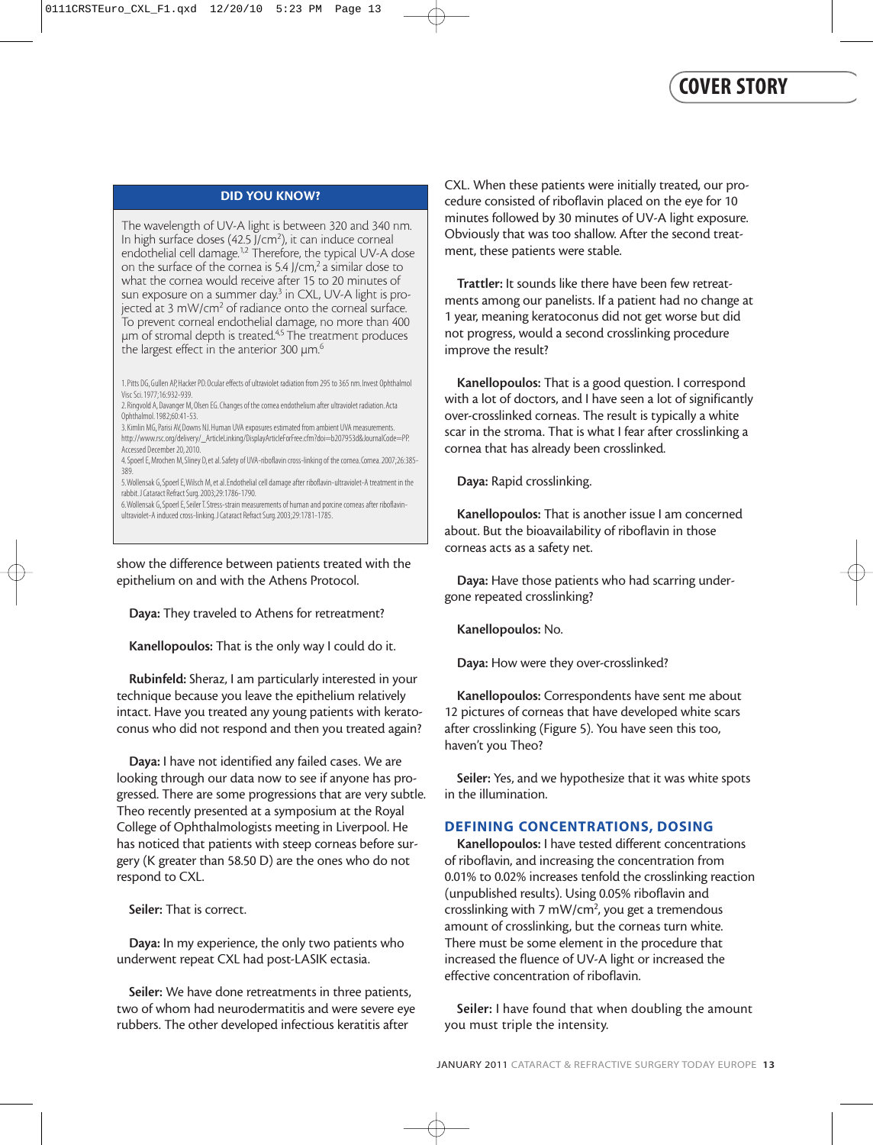#### **DID YOU KNOW?**

The wavelength of UV-A light is between 320 and 340 nm. In high surface doses (42.5 J/cm<sup>2</sup>), it can induce corneal endothelial cell damage.<sup>1,2</sup> Therefore, the typical UV-A dose on the surface of the cornea is 5.4 J/cm,<sup>2</sup> a similar dose to what the cornea would receive after 15 to 20 minutes of sun exposure on a summer day.<sup>3</sup> in CXL, UV-A light is projected at 3 mW/cm<sup>2</sup> of radiance onto the corneal surface. To prevent corneal endothelial damage, no more than 400 µm of stromal depth is treated.4,5 The treatment produces the largest effect in the anterior 300  $\mu$ m. $^6$ 

1.Pitts DG, Gullen AP, Hacker PD.Ocular effects of ultraviolet radiation from 295 to 365 nm.Invest Ophthalmol Visc Sci.1977;16:932-939.

- 2.Ringvold A, Davanger M, Olsen EG.Changes of the cornea endothelium after ultraviolet radiation.Acta Ophthalmol.1982;60:41-53.
- 3.Kimlin MG, Parisi AV, Downs NJ.Human UVA exposures estimated from ambient UVA measurements. http://www.rsc.org/delivery/\_ArticleLinking/DisplayArticleForFree.cfm?doi=b207953d&JournalCode=PP. Accessed December 20, 2010.
- 4. Spoerl E, Mrochen M, Sliney D, et al. Safety of UVA-riboflavin cross-linking of the cornea. Cornea. 2007;26:385-389.

5.Wollensak G, Spoerl E,Wilsch M, et al.Endothelial cell damage after riboflavin-ultraviolet-A treatment in the rabbit.J Cataract Refract Surg.2003;29:1786-1790.

6.Wollensak G, Spoerl E, Seiler T.Stress-strain measurements of human and porcine corneas after riboflavinultraviolet-A induced cross-linking.J Cataract Refract Surg.2003;29:1781-1785.

show the difference between patients treated with the epithelium on and with the Athens Protocol.

Daya: They traveled to Athens for retreatment?

Kanellopoulos: That is the only way I could do it.

Rubinfeld: Sheraz, I am particularly interested in your technique because you leave the epithelium relatively intact. Have you treated any young patients with keratoconus who did not respond and then you treated again?

Daya: I have not identified any failed cases. We are looking through our data now to see if anyone has progressed. There are some progressions that are very subtle. Theo recently presented at a symposium at the Royal College of Ophthalmologists meeting in Liverpool. He has noticed that patients with steep corneas before surgery (K greater than 58.50 D) are the ones who do not respond to CXL.

Seiler: That is correct.

Daya: In my experience, the only two patients who underwent repeat CXL had post-LASIK ectasia.

Seiler: We have done retreatments in three patients, two of whom had neurodermatitis and were severe eye rubbers. The other developed infectious keratitis after

CXL. When these patients were initially treated, our procedure consisted of riboflavin placed on the eye for 10 minutes followed by 30 minutes of UV-A light exposure. Obviously that was too shallow. After the second treatment, these patients were stable.

Trattler: It sounds like there have been few retreatments among our panelists. If a patient had no change at 1 year, meaning keratoconus did not get worse but did not progress, would a second crosslinking procedure improve the result?

Kanellopoulos: That is a good question. I correspond with a lot of doctors, and I have seen a lot of significantly over-crosslinked corneas. The result is typically a white scar in the stroma. That is what I fear after crosslinking a cornea that has already been crosslinked.

Daya: Rapid crosslinking.

Kanellopoulos: That is another issue I am concerned about. But the bioavailability of riboflavin in those corneas acts as a safety net.

Daya: Have those patients who had scarring undergone repeated crosslinking?

Kanellopoulos: No.

Daya: How were they over-crosslinked?

Kanellopoulos: Correspondents have sent me about 12 pictures of corneas that have developed white scars after crosslinking (Figure 5). You have seen this too, haven't you Theo?

Seiler: Yes, and we hypothesize that it was white spots in the illumination.

#### **DEFINING CONCENTRATIONS, DOSING**

Kanellopoulos: I have tested different concentrations of riboflavin, and increasing the concentration from 0.01% to 0.02% increases tenfold the crosslinking reaction (unpublished results). Using 0.05% riboflavin and crosslinking with 7 mW/cm<sup>2</sup>, you get a tremendous amount of crosslinking, but the corneas turn white. There must be some element in the procedure that increased the fluence of UV-A light or increased the effective concentration of riboflavin.

Seiler: I have found that when doubling the amount you must triple the intensity.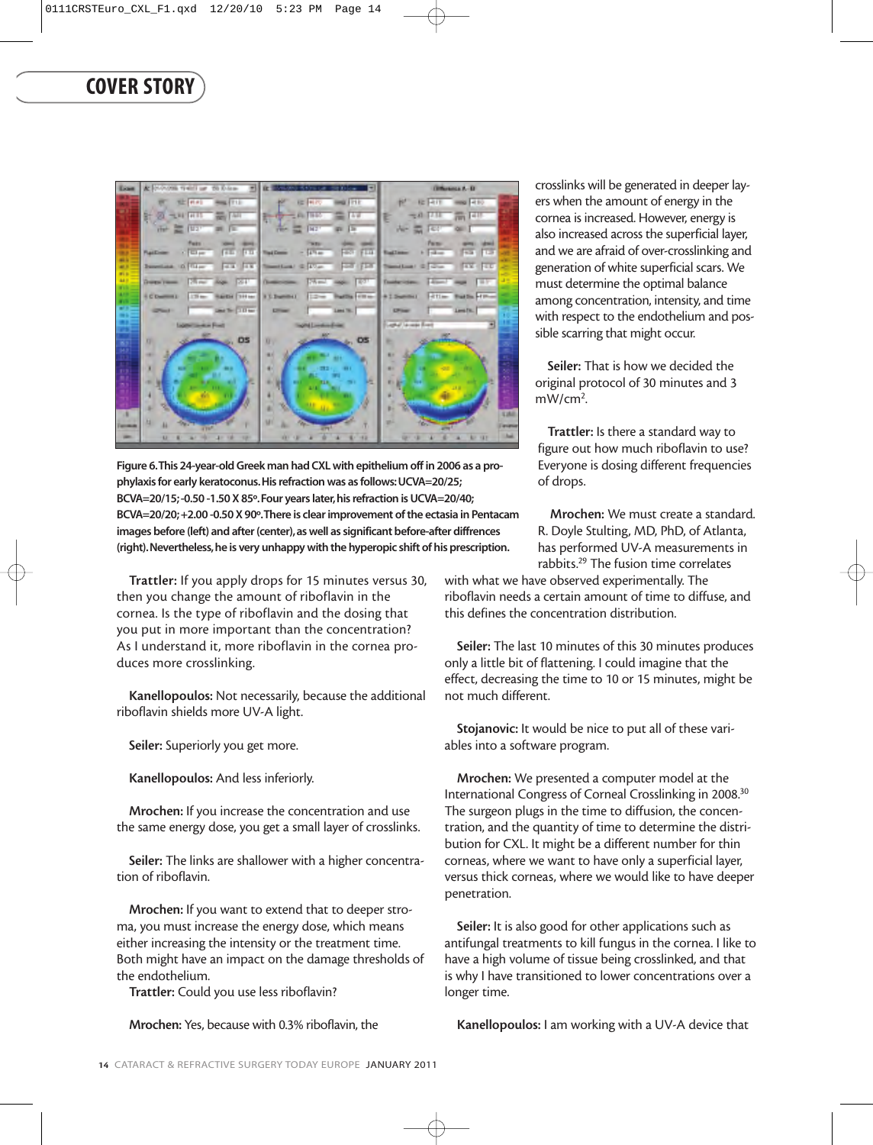

**Figure 6.This 24-year-old Greek man had CXL with epithelium off in 2006 as a prophylaxis for early keratoconus.His refraction was as follows:UCVA=20/25; BCVA=20/15; -0.50 -1.50 X 85º.Four years later,his refraction is UCVA=20/40; BCVA=20/20; +2.00 -0.50 X 90º.There is clear improvement of the ectasia in Pentacam images before (left) and after (center),as well as significant before-after diffrences (right).Nevertheless,he is very unhappy with the hyperopic shift of his prescription.**

Trattler: If you apply drops for 15 minutes versus 30, then you change the amount of riboflavin in the cornea. Is the type of riboflavin and the dosing that you put in more important than the concentration? As I understand it, more riboflavin in the cornea produces more crosslinking.

Kanellopoulos: Not necessarily, because the additional riboflavin shields more UV-A light.

Seiler: Superiorly you get more.

Kanellopoulos: And less inferiorly.

Mrochen: If you increase the concentration and use the same energy dose, you get a small layer of crosslinks.

Seiler: The links are shallower with a higher concentration of riboflavin.

Mrochen: If you want to extend that to deeper stroma, you must increase the energy dose, which means either increasing the intensity or the treatment time. Both might have an impact on the damage thresholds of the endothelium.

Trattler: Could you use less riboflavin?

Mrochen: Yes, because with 0.3% riboflavin, the

crosslinks will be generated in deeper layers when the amount of energy in the cornea is increased. However, energy is also increased across the superficial layer, and we are afraid of over-crosslinking and generation of white superficial scars. We must determine the optimal balance among concentration, intensity, and time with respect to the endothelium and possible scarring that might occur.

Seiler: That is how we decided the original protocol of 30 minutes and 3 mW/cm<sup>2</sup>.

Trattler: Is there a standard way to figure out how much riboflavin to use? Everyone is dosing different frequencies of drops.

Mrochen: We must create a standard. R. Doyle Stulting, MD, PhD, of Atlanta, has performed UV-A measurements in rabbits.29 The fusion time correlates

with what we have observed experimentally. The riboflavin needs a certain amount of time to diffuse, and this defines the concentration distribution.

Seiler: The last 10 minutes of this 30 minutes produces only a little bit of flattening. I could imagine that the effect, decreasing the time to 10 or 15 minutes, might be not much different.

Stojanovic: It would be nice to put all of these variables into a software program.

Mrochen: We presented a computer model at the International Congress of Corneal Crosslinking in 2008.30 The surgeon plugs in the time to diffusion, the concentration, and the quantity of time to determine the distribution for CXL. It might be a different number for thin corneas, where we want to have only a superficial layer, versus thick corneas, where we would like to have deeper penetration.

Seiler: It is also good for other applications such as antifungal treatments to kill fungus in the cornea. I like to have a high volume of tissue being crosslinked, and that is why I have transitioned to lower concentrations over a longer time.

Kanellopoulos: I am working with a UV-A device that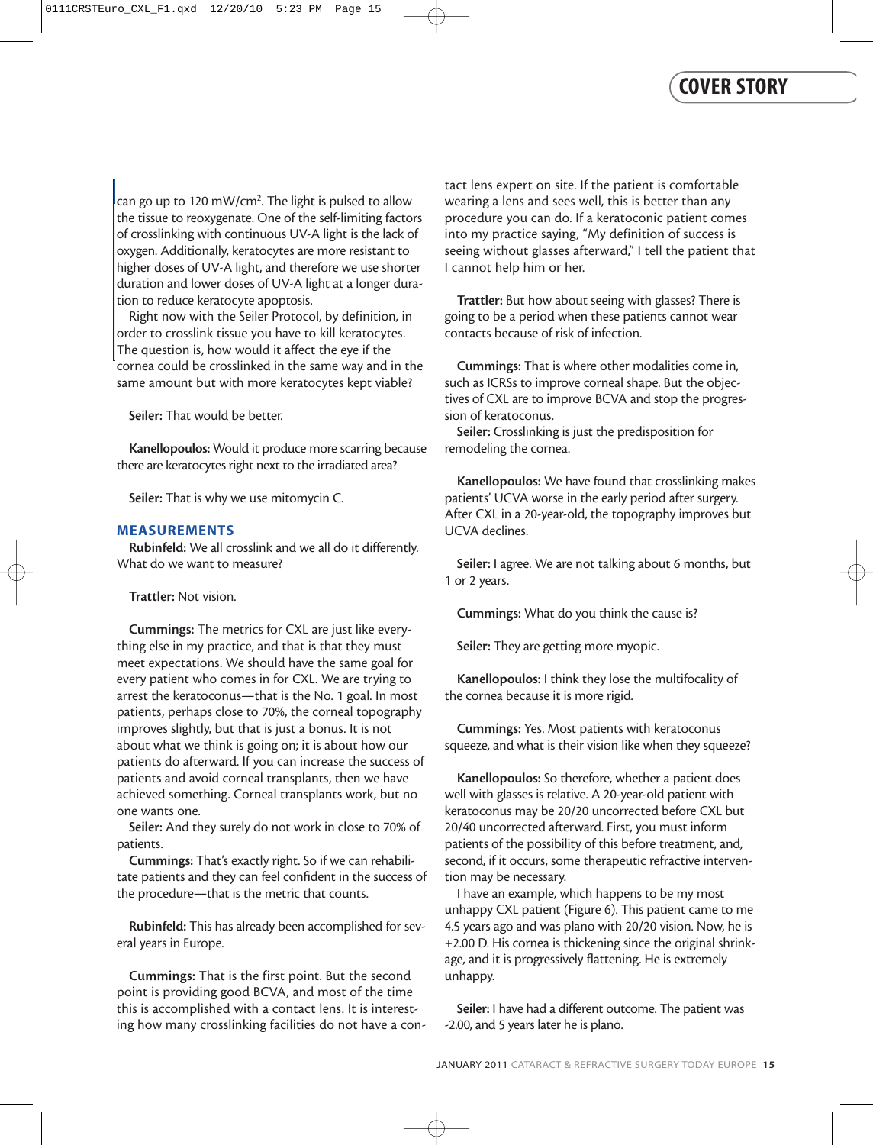can go up to 120 mW/cm<sup>2</sup>. The light is pulsed to allow the tissue to reoxygenate. One of the self-limiting factors of crosslinking with continuous UV-A light is the lack of oxygen. Additionally, keratocytes are more resistant to higher doses of UV-A light, and therefore we use shorter duration and lower doses of UV-A light at a longer duration to reduce keratocyte apoptosis.

Right now with the Seiler Protocol, by definition, in order to crosslink tissue you have to kill keratocytes. The question is, how would it affect the eye if the cornea could be crosslinked in the same way and in the same amount but with more keratocytes kept viable?

Seiler: That would be better.

Kanellopoulos: Would it produce more scarring because there are keratocytes right next to the irradiated area?

Seiler: That is why we use mitomycin C.

#### **MEASUREMENTS**

Rubinfeld: We all crosslink and we all do it differently. What do we want to measure?

Trattler: Not vision.

Cummings: The metrics for CXL are just like everything else in my practice, and that is that they must meet expectations. We should have the same goal for every patient who comes in for CXL. We are trying to arrest the keratoconus—that is the No. 1 goal. In most patients, perhaps close to 70%, the corneal topography improves slightly, but that is just a bonus. It is not about what we think is going on; it is about how our patients do afterward. If you can increase the success of patients and avoid corneal transplants, then we have achieved something. Corneal transplants work, but no one wants one.

Seiler: And they surely do not work in close to 70% of patients.

Cummings: That's exactly right. So if we can rehabilitate patients and they can feel confident in the success of the procedure—that is the metric that counts.

Rubinfeld: This has already been accomplished for several years in Europe.

Cummings: That is the first point. But the second point is providing good BCVA, and most of the time this is accomplished with a contact lens. It is interesting how many crosslinking facilities do not have a con-

tact lens expert on site. If the patient is comfortable wearing a lens and sees well, this is better than any procedure you can do. If a keratoconic patient comes into my practice saying, "My definition of success is seeing without glasses afterward," I tell the patient that I cannot help him or her.

Trattler: But how about seeing with glasses? There is going to be a period when these patients cannot wear contacts because of risk of infection.

Cummings: That is where other modalities come in, such as ICRSs to improve corneal shape. But the objectives of CXL are to improve BCVA and stop the progression of keratoconus.

Seiler: Crosslinking is just the predisposition for remodeling the cornea.

Kanellopoulos: We have found that crosslinking makes patients' UCVA worse in the early period after surgery. After CXL in a 20-year-old, the topography improves but UCVA declines.

Seiler: I agree. We are not talking about 6 months, but 1 or 2 years.

Cummings: What do you think the cause is?

Seiler: They are getting more myopic.

Kanellopoulos: I think they lose the multifocality of the cornea because it is more rigid.

Cummings: Yes. Most patients with keratoconus squeeze, and what is their vision like when they squeeze?

Kanellopoulos: So therefore, whether a patient does well with glasses is relative. A 20-year-old patient with keratoconus may be 20/20 uncorrected before CXL but 20/40 uncorrected afterward. First, you must inform patients of the possibility of this before treatment, and, second, if it occurs, some therapeutic refractive intervention may be necessary.

I have an example, which happens to be my most unhappy CXL patient (Figure 6). This patient came to me 4.5 years ago and was plano with 20/20 vision. Now, he is +2.00 D. His cornea is thickening since the original shrinkage, and it is progressively flattening. He is extremely unhappy.

Seiler: I have had a different outcome. The patient was -2.00, and 5 years later he is plano.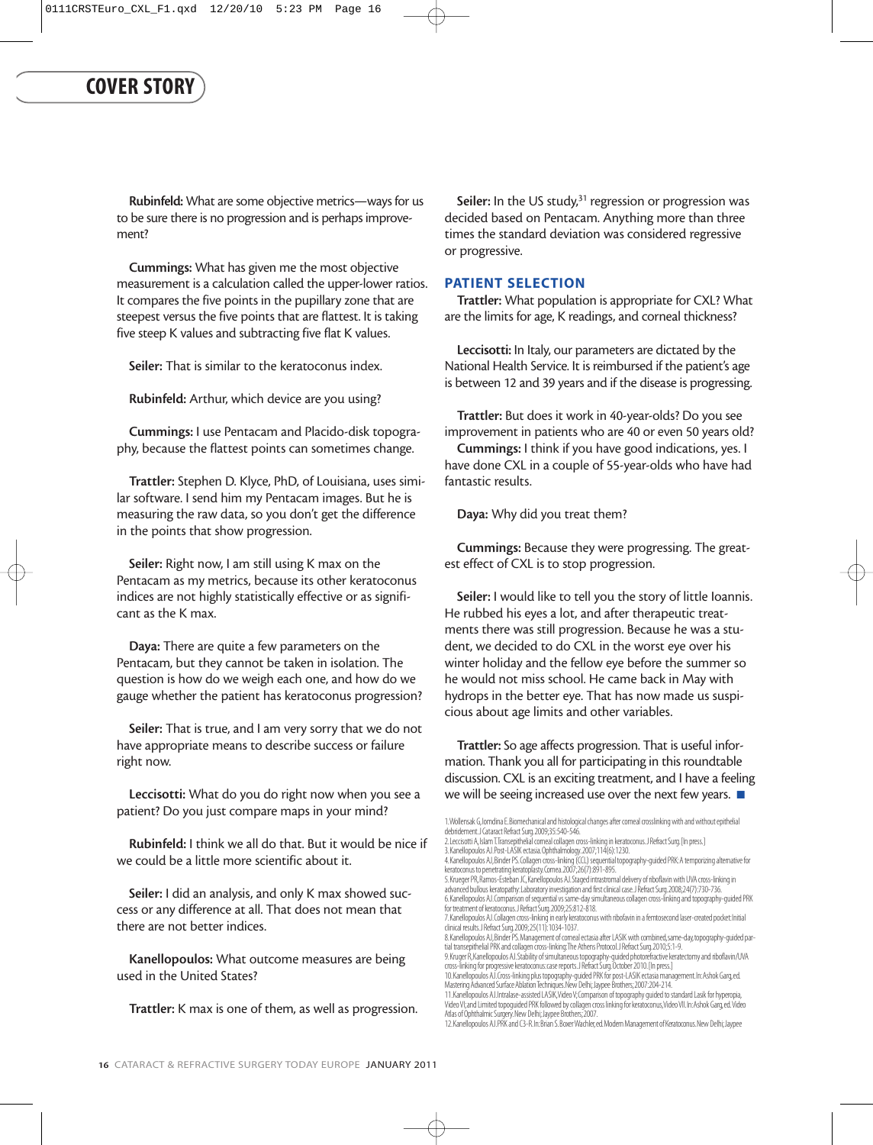Rubinfeld: What are some objective metrics—ways for us to be sure there is no progression and is perhaps improvement?

Cummings: What has given me the most objective measurement is a calculation called the upper-lower ratios. It compares the five points in the pupillary zone that are steepest versus the five points that are flattest. It is taking five steep K values and subtracting five flat K values.

Seiler: That is similar to the keratoconus index.

Rubinfeld: Arthur, which device are you using?

Cummings: I use Pentacam and Placido-disk topography, because the flattest points can sometimes change.

Trattler: Stephen D. Klyce, PhD, of Louisiana, uses similar software. I send him my Pentacam images. But he is measuring the raw data, so you don't get the difference in the points that show progression.

Seiler: Right now, I am still using K max on the Pentacam as my metrics, because its other keratoconus indices are not highly statistically effective or as significant as the K max.

Daya: There are quite a few parameters on the Pentacam, but they cannot be taken in isolation. The question is how do we weigh each one, and how do we gauge whether the patient has keratoconus progression?

Seiler: That is true, and I am very sorry that we do not have appropriate means to describe success or failure right now.

Leccisotti: What do you do right now when you see a patient? Do you just compare maps in your mind?

Rubinfeld: I think we all do that. But it would be nice if we could be a little more scientific about it.

Seiler: I did an analysis, and only K max showed success or any difference at all. That does not mean that there are not better indices.

Kanellopoulos: What outcome measures are being used in the United States?

Trattler: K max is one of them, as well as progression.

Seiler: In the US study, $31$  regression or progression was decided based on Pentacam. Anything more than three times the standard deviation was considered regressive or progressive.

#### **PATIENT SELECTION**

Trattler: What population is appropriate for CXL? What are the limits for age, K readings, and corneal thickness?

Leccisotti: In Italy, our parameters are dictated by the National Health Service. It is reimbursed if the patient's age is between 12 and 39 years and if the disease is progressing.

Trattler: But does it work in 40-year-olds? Do you see improvement in patients who are 40 or even 50 years old?

Cummings: I think if you have good indications, yes. I have done CXL in a couple of 55-year-olds who have had fantastic results.

Daya: Why did you treat them?

Cummings: Because they were progressing. The greatest effect of CXL is to stop progression.

Seiler: I would like to tell you the story of little Ioannis. He rubbed his eyes a lot, and after therapeutic treatments there was still progression. Because he was a student, we decided to do CXL in the worst eye over his winter holiday and the fellow eye before the summer so he would not miss school. He came back in May with hydrops in the better eye. That has now made us suspicious about age limits and other variables.

Trattler: So age affects progression. That is useful information. Thank you all for participating in this roundtable discussion. CXL is an exciting treatment, and I have a feeling we will be seeing increased use over the next few years. ■

<sup>1.</sup>Wollensak G,Iomdina E.Biomechanical and histological changes after corneal crosslinking with and without epithelial debridement.J Cataract Refract Surg.2009;35:540-546. 2. Leccisotti A, Islam T.Transepithelial corneal collagen cross-linking in keratoconus. J Refract Surg. [In press.]

<sup>3.</sup>Kanellopoulos AJ.Post-LASIK ectasia.Ophthalmology.2007;114(6):1230.

<sup>4.</sup>Kanellopoulos AJ,Binder PS.Collagen cross-linking (CCL) sequential topography-guided PRK:A temporizing alternative for keratoconus to penetrating keratoplasty.Cornea.2007;26(7):891-895. 5.Krueger PR,Ramos-Esteban JC,Kanellopoulos AJ.Staged intrastromal delivery of riboflavin with UVA cross-linking in

advanced bullous keratopathy:Laboratory investigation and first clinical case.J Refract Surg.2008;24(7):730-736. 6.Kanellopoulos AJ.Comparison of sequential vs same-day simultaneous collagen cross-linking and topography-guided PRK for treatment of keratoconus.J Refract Surg.2009;25:812-818.

<sup>7.</sup> Kanellopoulos AJ. Collagen cross-linking in early keratoconus with ribofavin in a ferntosecond laser-created pocket: Initial<br>dinical results. J Refract Surg. 2009; 25 (11): 1034–1037.<br>8. Kanellopoulos AJ. Binder PS. Man

<sup>9.</sup>Kruger R,Kanellopoulos AJ.Stability of simultaneous topography-guided photorefractive keratectomy and riboflavin/UVA<br>cross-linking for progressive keratoconus:case reports.J Refract Surg.October 2010. [In press.]

<sup>10.</sup> Kanellopoulos AJ.Cross-linking plus topography-guided PRK for post-LASIK ectasia management.In:Ashok Garg,ed.<br>Mastering Advanced Surface Ablation Techniques.New Delhi; Jaypee Brothers;2007:204–214.

<sup>11.</sup> Kanellopoulos AJ.Intralase-assisted LASIK, Video V; Comparison of topography guided to standard Lasik for hyperopia,<br>Video VI; and Limited topoguided PRK followed by collagen cross linking for keratoconus, Video VII. I Atlas of Ophthalmic Surgery.New Delhi;Jaypee Brothers;2007. 12.Kanellopoulos AJ.PRK and C3-R.In:Brian S.Boxer Wachler,ed.Modern Management of Keratoconus.New Delhi;Jaypee